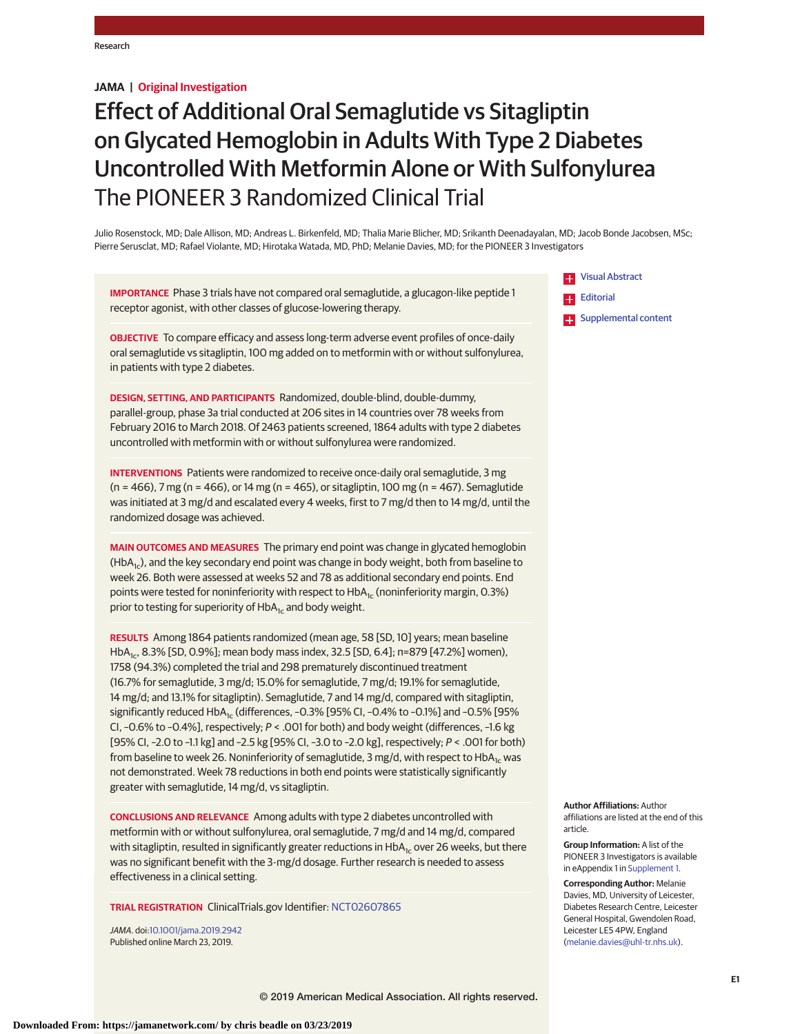# **JAMA | Original Investigation**

# Effect of Additional Oral Semaglutide vs Sitagliptin on Glycated Hemoglobin in Adults With Type 2 Diabetes Uncontrolled With Metformin Alone or With Sulfonylurea The PIONEER 3 Randomized Clinical Trial

Julio Rosenstock, MD; Dale Allison, MD; Andreas L. Birkenfeld, MD; Thalia Marie Blicher, MD; Srikanth Deenadayalan, MD; Jacob Bonde Jacobsen, MSc; Pierre Serusclat, MD; Rafael Violante, MD; Hirotaka Watada, MD, PhD; Melanie Davies, MD; for the PIONEER 3 Investigators

**IMPORTANCE** Phase 3 trials have not compared oral semaglutide, a glucagon-like peptide 1 receptor agonist, with other classes of glucose-lowering therapy.

**OBJECTIVE** To compare efficacy and assess long-term adverse event profiles of once-daily oral semaglutide vs sitagliptin, 100 mg added on to metformin with or without sulfonylurea, in patients with type 2 diabetes.

**DESIGN, SETTING, AND PARTICIPANTS** Randomized, double-blind, double-dummy, parallel-group, phase 3a trial conducted at 206 sites in 14 countries over 78 weeks from February 2016 to March 2018. Of 2463 patients screened, 1864 adults with type 2 diabetes uncontrolled with metformin with or without sulfonylurea were randomized.

**INTERVENTIONS** Patients were randomized to receive once-daily oral semaglutide, 3 mg (n = 466), 7 mg (n = 466), or 14 mg (n = 465), or sitagliptin, 100 mg (n = 467). Semaglutide was initiated at 3 mg/d and escalated every 4 weeks, first to 7 mg/d then to 14 mg/d, until the randomized dosage was achieved.

**MAIN OUTCOMES AND MEASURES** The primary end point was change in glycated hemoglobin  $(HDA<sub>1c</sub>)$ , and the key secondary end point was change in body weight, both from baseline to week 26. Both were assessed at weeks 52 and 78 as additional secondary end points. End points were tested for noninferiority with respect to  $HDA<sub>1c</sub>$  (noninferiority margin, 0.3%) prior to testing for superiority of  $HbA_{1c}$  and body weight.

**RESULTS** Among 1864 patients randomized (mean age, 58 [SD, 10] years; mean baseline HbA<sub>1c</sub>, 8.3% [SD, 0.9%]; mean body mass index, 32.5 [SD, 6.4]; n=879 [47.2%] women), 1758 (94.3%) completed the trial and 298 prematurely discontinued treatment (16.7% for semaglutide, 3 mg/d; 15.0% for semaglutide, 7 mg/d; 19.1% for semaglutide, 14 mg/d; and 13.1% for sitagliptin). Semaglutide, 7 and 14 mg/d, compared with sitagliptin, significantly reduced  $HDA_{1c}$  (differences, -0.3% [95% CI, -0.4% to -0.1%] and -0.5% [95% CI, –0.6% to –0.4%], respectively; P < .001 for both) and body weight (differences, –1.6 kg [95% CI, –2.0 to –1.1 kg] and –2.5 kg [95% CI, –3.0 to –2.0 kg], respectively; P < .001 for both) from baseline to week 26. Noninferiority of semaglutide, 3 mg/d, with respect to HbA<sub>1c</sub> was not demonstrated. Week 78 reductions in both end points were statistically significantly greater with semaglutide, 14 mg/d, vs sitagliptin.

**CONCLUSIONS AND RELEVANCE** Among adults with type 2 diabetes uncontrolled with metformin with or without sulfonylurea, oral semaglutide, 7 mg/d and 14 mg/d, compared with sitagliptin, resulted in significantly greater reductions in HbA<sub>1c</sub> over 26 weeks, but there was no significant benefit with the 3-mg/d dosage. Further research is needed to assess effectiveness in a clinical setting.

**TRIAL REGISTRATION** ClinicalTrials.gov Identifier: [NCT02607865](https://clinicaltrials.gov/ct2/show/NCT02607865)

JAMA. doi[:10.1001/jama.2019.2942](https://jama.jamanetwork.com/article.aspx?doi=10.1001/jama.2019.2942&utm_campaign=articlePDF%26utm_medium=articlePDFlink%26utm_source=articlePDF%26utm_content=jama.2019.2942) Published online March 23, 2019.



**Author Affiliations:** Author affiliations are listed at the end of this article.

**Group Information:** A list of the PIONEER 3 Investigators is available in eAppendix 1 in [Supplement 1.](https://jama.jamanetwork.com/article.aspx?doi=10.1001/jama.2019.2942&utm_campaign=articlePDF%26utm_medium=articlePDFlink%26utm_source=articlePDF%26utm_content=jama.2019.2942)

**Corresponding Author:** Melanie Davies, MD, University of Leicester, Diabetes Research Centre, Leicester General Hospital, Gwendolen Road, Leicester LE5 4PW, England [\(melanie.davies@uhl-tr.nhs.uk\)](mailto:melanie.davies@uhl-tr.nhs.uk).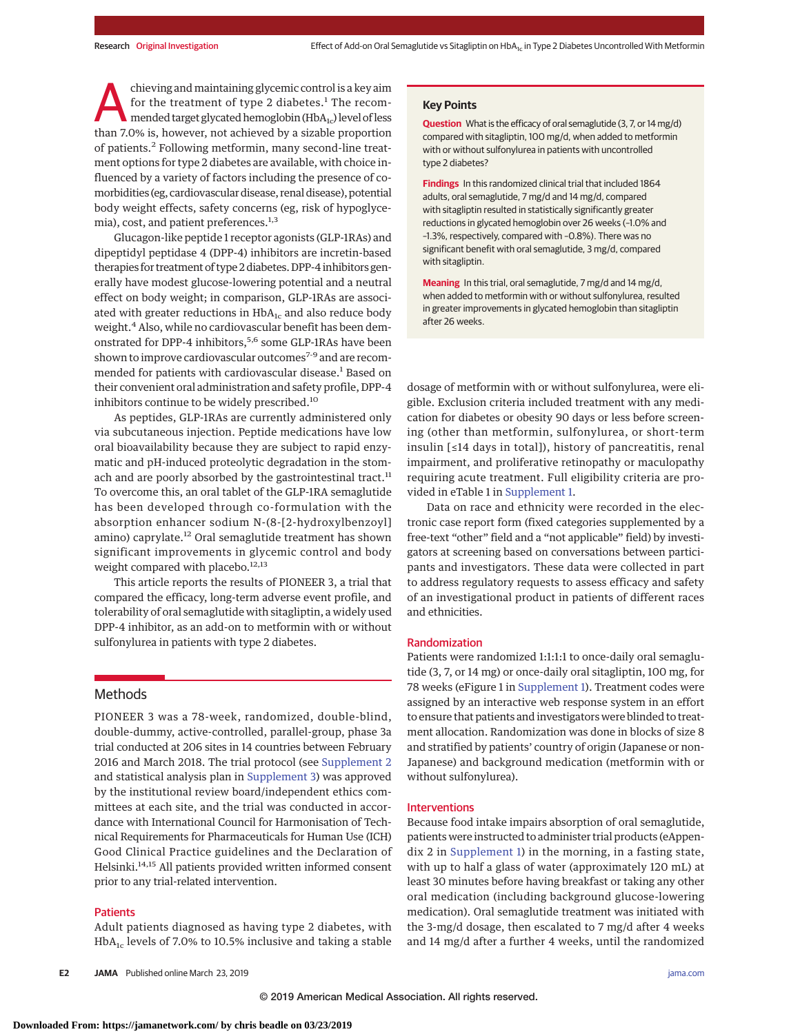chieving and maintaining glycemic control is a key aim for the treatment of type 2 diabetes.<sup>1</sup> The recommended target glycated hemoglobin  $(HbA_{1c})$  level of less than 7.0% is, however, not achieved by a sizable proportion of patients.<sup>2</sup> Following metformin, many second-line treatment options for type 2 diabetes are available, with choice influenced by a variety of factors including the presence of comorbidities (eg, cardiovascular disease, renal disease), potential body weight effects, safety concerns (eg, risk of hypoglycemia), cost, and patient preferences.<sup>1,3</sup>

Glucagon-like peptide 1 receptor agonists (GLP-1RAs) and dipeptidyl peptidase 4 (DPP-4) inhibitors are incretin-based therapies for treatment of type 2 diabetes. DPP-4 inhibitors generally have modest glucose-lowering potential and a neutral effect on body weight; in comparison, GLP-1RAs are associated with greater reductions in  $HbA_{1c}$  and also reduce body weight.<sup>4</sup> Also, while no cardiovascular benefit has been demonstrated for DPP-4 inhibitors,<sup>5,6</sup> some GLP-1RAs have been shown to improve cardiovascular outcomes<sup>7-9</sup> and are recommended for patients with cardiovascular disease.<sup>1</sup> Based on their convenient oral administration and safety profile, DPP-4 inhibitors continue to be widely prescribed.<sup>10</sup>

As peptides, GLP-1RAs are currently administered only via subcutaneous injection. Peptide medications have low oral bioavailability because they are subject to rapid enzymatic and pH-induced proteolytic degradation in the stomach and are poorly absorbed by the gastrointestinal tract. $11$ To overcome this, an oral tablet of the GLP-1RA semaglutide has been developed through co-formulation with the absorption enhancer sodium N-(8-[2-hydroxylbenzoyl] amino) caprylate.<sup>12</sup> Oral semaglutide treatment has shown significant improvements in glycemic control and body weight compared with placebo.<sup>12,13</sup>

This article reports the results of PIONEER 3, a trial that compared the efficacy, long-term adverse event profile, and tolerability of oral semaglutide with sitagliptin, a widely used DPP-4 inhibitor, as an add-on to metformin with or without sulfonylurea in patients with type 2 diabetes.

# **Methods**

PIONEER 3 was a 78-week, randomized, double-blind, double-dummy, active-controlled, parallel-group, phase 3a trial conducted at 206 sites in 14 countries between February 2016 and March 2018. The trial protocol (see [Supplement 2](https://jama.jamanetwork.com/article.aspx?doi=10.1001/jama.2019.2942&utm_campaign=articlePDF%26utm_medium=articlePDFlink%26utm_source=articlePDF%26utm_content=jama.2019.2942) and statistical analysis plan in [Supplement 3\)](https://jama.jamanetwork.com/article.aspx?doi=10.1001/jama.2019.2942&utm_campaign=articlePDF%26utm_medium=articlePDFlink%26utm_source=articlePDF%26utm_content=jama.2019.2942) was approved by the institutional review board/independent ethics committees at each site, and the trial was conducted in accordance with International Council for Harmonisation of Technical Requirements for Pharmaceuticals for Human Use (ICH) Good Clinical Practice guidelines and the Declaration of Helsinki.<sup>14,15</sup> All patients provided written informed consent prior to any trial-related intervention.

### **Patients**

Adult patients diagnosed as having type 2 diabetes, with  $HbA_{1c}$  levels of 7.0% to 10.5% inclusive and taking a stable

#### **Key Points**

**Question** What is the efficacy of oral semaglutide (3, 7, or 14 mg/d) compared with sitagliptin, 100 mg/d, when added to metformin with or without sulfonylurea in patients with uncontrolled type 2 diabetes?

**Findings** In this randomized clinical trial that included 1864 adults, oral semaglutide, 7 mg/d and 14 mg/d, compared with sitagliptin resulted in statistically significantly greater reductions in glycated hemoglobin over 26 weeks (–1.0% and –1.3%, respectively, compared with –0.8%). There was no significant benefit with oral semaglutide, 3 mg/d, compared with sitagliptin.

**Meaning** In this trial, oral semaglutide, 7 mg/d and 14 mg/d, when added to metformin with or without sulfonylurea, resulted in greater improvements in glycated hemoglobin than sitagliptin after 26 weeks.

dosage of metformin with or without sulfonylurea, were eligible. Exclusion criteria included treatment with any medication for diabetes or obesity 90 days or less before screening (other than metformin, sulfonylurea, or short-term insulin [≤14 days in total]), history of pancreatitis, renal impairment, and proliferative retinopathy or maculopathy requiring acute treatment. Full eligibility criteria are provided in eTable 1 in [Supplement 1.](https://jama.jamanetwork.com/article.aspx?doi=10.1001/jama.2019.2942&utm_campaign=articlePDF%26utm_medium=articlePDFlink%26utm_source=articlePDF%26utm_content=jama.2019.2942)

Data on race and ethnicity were recorded in the electronic case report form (fixed categories supplemented by a free-text "other" field and a "not applicable" field) by investigators at screening based on conversations between participants and investigators. These data were collected in part to address regulatory requests to assess efficacy and safety of an investigational product in patients of different races and ethnicities.

#### Randomization

Patients were randomized 1:1:1:1 to once-daily oral semaglutide (3, 7, or 14 mg) or once-daily oral sitagliptin, 100 mg, for 78 weeks (eFigure 1 in [Supplement 1\)](https://jama.jamanetwork.com/article.aspx?doi=10.1001/jama.2019.2942&utm_campaign=articlePDF%26utm_medium=articlePDFlink%26utm_source=articlePDF%26utm_content=jama.2019.2942). Treatment codes were assigned by an interactive web response system in an effort to ensure that patients and investigators were blinded to treatment allocation. Randomization was done in blocks of size 8 and stratified by patients' country of origin (Japanese or non-Japanese) and background medication (metformin with or without sulfonylurea).

#### Interventions

Because food intake impairs absorption of oral semaglutide, patients were instructed to administer trial products (eAppendix 2 in [Supplement 1\)](https://jama.jamanetwork.com/article.aspx?doi=10.1001/jama.2019.2942&utm_campaign=articlePDF%26utm_medium=articlePDFlink%26utm_source=articlePDF%26utm_content=jama.2019.2942) in the morning, in a fasting state, with up to half a glass of water (approximately 120 mL) at least 30 minutes before having breakfast or taking any other oral medication (including background glucose-lowering medication). Oral semaglutide treatment was initiated with the 3-mg/d dosage, then escalated to 7 mg/d after 4 weeks and 14 mg/d after a further 4 weeks, until the randomized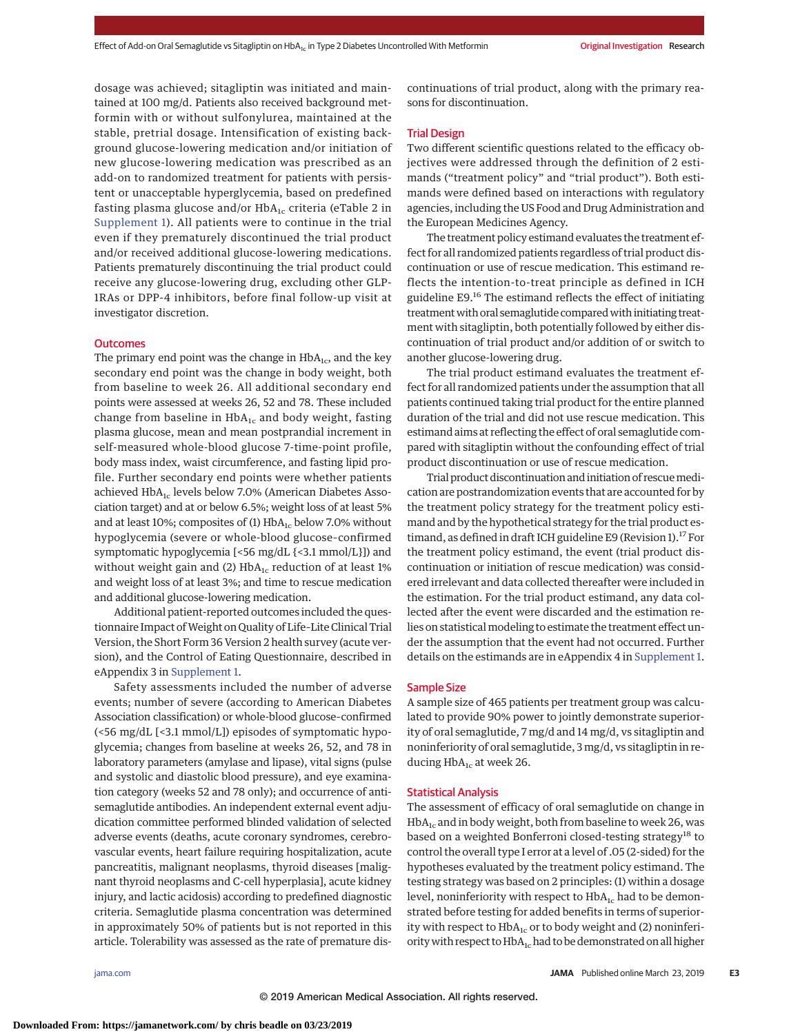dosage was achieved; sitagliptin was initiated and maintained at 100 mg/d. Patients also received background metformin with or without sulfonylurea, maintained at the stable, pretrial dosage. Intensification of existing background glucose-lowering medication and/or initiation of new glucose-lowering medication was prescribed as an add-on to randomized treatment for patients with persistent or unacceptable hyperglycemia, based on predefined fasting plasma glucose and/or  $HbA_{1c}$  criteria (eTable 2 in [Supplement 1\)](https://jama.jamanetwork.com/article.aspx?doi=10.1001/jama.2019.2942&utm_campaign=articlePDF%26utm_medium=articlePDFlink%26utm_source=articlePDF%26utm_content=jama.2019.2942). All patients were to continue in the trial even if they prematurely discontinued the trial product and/or received additional glucose-lowering medications. Patients prematurely discontinuing the trial product could receive any glucose-lowering drug, excluding other GLP-1RAs or DPP-4 inhibitors, before final follow-up visit at investigator discretion.

#### **Outcomes**

The primary end point was the change in  $HbA_{1c}$ , and the key secondary end point was the change in body weight, both from baseline to week 26. All additional secondary end points were assessed at weeks 26, 52 and 78. These included change from baseline in  $HbA_{1c}$  and body weight, fasting plasma glucose, mean and mean postprandial increment in self-measured whole-blood glucose 7-time-point profile, body mass index, waist circumference, and fasting lipid profile. Further secondary end points were whether patients achieved HbA<sub>1c</sub> levels below 7.0% (American Diabetes Association target) and at or below 6.5%; weight loss of at least 5% and at least 10%; composites of (1)  $HbA_{1c}$  below 7.0% without hypoglycemia (severe or whole-blood glucose–confirmed symptomatic hypoglycemia [<56 mg/dL {<3.1 mmol/L}]) and without weight gain and (2)  $HbA_{1c}$  reduction of at least 1% and weight loss of at least 3%; and time to rescue medication and additional glucose-lowering medication.

Additional patient-reported outcomes included the questionnaire Impact of Weight on Quality of Life-Lite Clinical Trial Version, the Short Form 36 Version 2 health survey (acute version), and the Control of Eating Questionnaire, described in eAppendix 3 in [Supplement 1.](https://jama.jamanetwork.com/article.aspx?doi=10.1001/jama.2019.2942&utm_campaign=articlePDF%26utm_medium=articlePDFlink%26utm_source=articlePDF%26utm_content=jama.2019.2942)

Safety assessments included the number of adverse events; number of severe (according to American Diabetes Association classification) or whole-blood glucose–confirmed (<56 mg/dL [<3.1 mmol/L]) episodes of symptomatic hypoglycemia; changes from baseline at weeks 26, 52, and 78 in laboratory parameters (amylase and lipase), vital signs (pulse and systolic and diastolic blood pressure), and eye examination category (weeks 52 and 78 only); and occurrence of antisemaglutide antibodies. An independent external event adjudication committee performed blinded validation of selected adverse events (deaths, acute coronary syndromes, cerebrovascular events, heart failure requiring hospitalization, acute pancreatitis, malignant neoplasms, thyroid diseases [malignant thyroid neoplasms and C-cell hyperplasia], acute kidney injury, and lactic acidosis) according to predefined diagnostic criteria. Semaglutide plasma concentration was determined in approximately 50% of patients but is not reported in this article. Tolerability was assessed as the rate of premature discontinuations of trial product, along with the primary reasons for discontinuation.

# Trial Design

Two different scientific questions related to the efficacy objectives were addressed through the definition of 2 estimands ("treatment policy" and "trial product"). Both estimands were defined based on interactions with regulatory agencies, including the US Food and Drug Administration and the European Medicines Agency.

The treatment policy estimand evaluates the treatment effect for all randomized patients regardless of trial product discontinuation or use of rescue medication. This estimand reflects the intention-to-treat principle as defined in ICH guideline E9.<sup>16</sup> The estimand reflects the effect of initiating treatment with oral semaglutide compared with initiating treatment with sitagliptin, both potentially followed by either discontinuation of trial product and/or addition of or switch to another glucose-lowering drug.

The trial product estimand evaluates the treatment effect for all randomized patients under the assumption that all patients continued taking trial product for the entire planned duration of the trial and did not use rescue medication. This estimand aims at reflecting the effect of oral semaglutide compared with sitagliptin without the confounding effect of trial product discontinuation or use of rescue medication.

Trial product discontinuation and initiation of rescuemedication are postrandomization events that are accounted for by the treatment policy strategy for the treatment policy estimand and by the hypothetical strategy for the trial product estimand, as defined in draft ICH guideline E9 (Revision 1).<sup>17</sup> For the treatment policy estimand, the event (trial product discontinuation or initiation of rescue medication) was considered irrelevant and data collected thereafter were included in the estimation. For the trial product estimand, any data collected after the event were discarded and the estimation relies on statistical modeling to estimate the treatment effect under the assumption that the event had not occurred. Further details on the estimands are in eAppendix 4 in [Supplement 1.](https://jama.jamanetwork.com/article.aspx?doi=10.1001/jama.2019.2942&utm_campaign=articlePDF%26utm_medium=articlePDFlink%26utm_source=articlePDF%26utm_content=jama.2019.2942)

### Sample Size

A sample size of 465 patients per treatment group was calculated to provide 90% power to jointly demonstrate superiority of oral semaglutide, 7 mg/d and 14 mg/d, vs sitagliptin and noninferiority of oral semaglutide, 3 mg/d, vs sitagliptin in reducing  $HbA_{1c}$  at week 26.

#### Statistical Analysis

The assessment of efficacy of oral semaglutide on change in  $HbA_{1c}$  and in body weight, both from baseline to week 26, was based on a weighted Bonferroni closed-testing strategy<sup>18</sup> to control the overall type I error at a level of .05 (2-sided) for the hypotheses evaluated by the treatment policy estimand. The testing strategy was based on 2 principles: (1) within a dosage level, noninferiority with respect to  $HbA_{1c}$  had to be demonstrated before testing for added benefits in terms of superiority with respect to  $HbA_{1c}$  or to body weight and (2) noninferiority with respect to HbA<sub>1c</sub> had to be demonstrated on all higher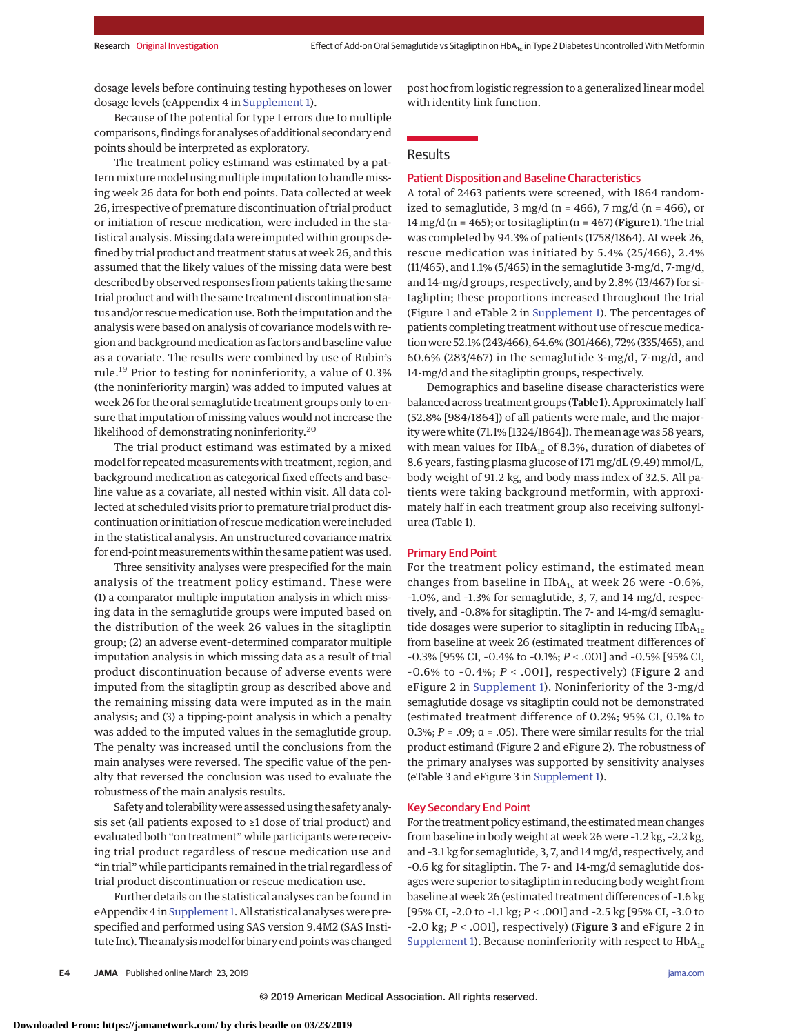dosage levels before continuing testing hypotheses on lower dosage levels (eAppendix 4 in [Supplement 1\)](https://jama.jamanetwork.com/article.aspx?doi=10.1001/jama.2019.2942&utm_campaign=articlePDF%26utm_medium=articlePDFlink%26utm_source=articlePDF%26utm_content=jama.2019.2942).

Because of the potential for type I errors due to multiple comparisons, findings for analyses of additional secondary end points should be interpreted as exploratory.

The treatment policy estimand was estimated by a pattern mixture model using multiple imputation to handle missing week 26 data for both end points. Data collected at week 26, irrespective of premature discontinuation of trial product or initiation of rescue medication, were included in the statistical analysis. Missing data were imputed within groups defined by trial product and treatment status at week 26, and this assumed that the likely values of the missing data were best described by observed responses from patients taking the same trial product and with the same treatment discontinuation status and/or rescue medication use. Both the imputation and the analysis were based on analysis of covariance models with region and background medication as factors and baseline value as a covariate. The results were combined by use of Rubin's rule.<sup>19</sup> Prior to testing for noninferiority, a value of 0.3% (the noninferiority margin) was added to imputed values at week 26 for the oral semaglutide treatment groups only to ensure that imputation of missing values would not increase the likelihood of demonstrating noninferiority.<sup>20</sup>

The trial product estimand was estimated by a mixed model for repeated measurements with treatment, region, and background medication as categorical fixed effects and baseline value as a covariate, all nested within visit. All data collected at scheduled visits prior to premature trial product discontinuation or initiation of rescue medication were included in the statistical analysis. An unstructured covariance matrix for end-point measurements within the same patient was used.

Three sensitivity analyses were prespecified for the main analysis of the treatment policy estimand. These were (1) a comparator multiple imputation analysis in which missing data in the semaglutide groups were imputed based on the distribution of the week 26 values in the sitagliptin group; (2) an adverse event–determined comparator multiple imputation analysis in which missing data as a result of trial product discontinuation because of adverse events were imputed from the sitagliptin group as described above and the remaining missing data were imputed as in the main analysis; and (3) a tipping-point analysis in which a penalty was added to the imputed values in the semaglutide group. The penalty was increased until the conclusions from the main analyses were reversed. The specific value of the penalty that reversed the conclusion was used to evaluate the robustness of the main analysis results.

Safety and tolerabilitywere assessed using the safety analysis set (all patients exposed to ≥1 dose of trial product) and evaluated both "on treatment" while participants were receiving trial product regardless of rescue medication use and "in trial" while participants remained in the trial regardless of trial product discontinuation or rescue medication use.

Further details on the statistical analyses can be found in eAppendix 4 in Supplement 1. All statistical analyses were prespecified and performed using SAS version 9.4M2 (SAS Institute Inc). The analysis model for binary end points was changed post hoc from logistic regression to a generalized linear model with identity link function.

# Results

# Patient Disposition and Baseline Characteristics

A total of 2463 patients were screened, with 1864 randomized to semaglutide,  $3 \text{ mg/d}$  (n = 466),  $7 \text{ mg/d}$  (n = 466), or 14 mg/d (n = 465); or to sitagliptin (n = 467) (Figure 1). The trial was completed by 94.3% of patients (1758/1864). At week 26, rescue medication was initiated by 5.4% (25/466), 2.4% (11/465), and 1.1% (5/465) in the semaglutide 3-mg/d, 7-mg/d, and 14-mg/d groups, respectively, and by 2.8% (13/467) for sitagliptin; these proportions increased throughout the trial (Figure 1 and eTable 2 in [Supplement 1\)](https://jama.jamanetwork.com/article.aspx?doi=10.1001/jama.2019.2942&utm_campaign=articlePDF%26utm_medium=articlePDFlink%26utm_source=articlePDF%26utm_content=jama.2019.2942). The percentages of patients completing treatment without use of rescue medicationwere 52.1% (243/466), 64.6% (301/466), 72% (335/465), and 60.6% (283/467) in the semaglutide 3-mg/d, 7-mg/d, and 14-mg/d and the sitagliptin groups, respectively.

Demographics and baseline disease characteristics were balanced across treatment groups (Table 1). Approximately half (52.8% [984/1864]) of all patients were male, and the majority were white (71.1% [1324/1864]). Themean age was 58 years, with mean values for  $HbA_{1c}$  of 8.3%, duration of diabetes of 8.6 years, fasting plasma glucose of 171 mg/dL (9.49) mmol/L, body weight of 91.2 kg, and body mass index of 32.5. All patients were taking background metformin, with approximately half in each treatment group also receiving sulfonylurea (Table 1).

#### Primary End Point

For the treatment policy estimand, the estimated mean changes from baseline in  $HbA_{1c}$  at week 26 were -0.6%, –1.0%, and –1.3% for semaglutide, 3, 7, and 14 mg/d, respectively, and –0.8% for sitagliptin. The 7- and 14-mg/d semaglutide dosages were superior to sitagliptin in reducing  $HbA_{1c}$ from baseline at week 26 (estimated treatment differences of –0.3% [95% CI, –0.4% to –0.1%; *P* < .001] and –0.5% [95% CI, –0.6% to –0.4%; *P* < .001], respectively) (Figure 2 and eFigure 2 in [Supplement 1\)](https://jama.jamanetwork.com/article.aspx?doi=10.1001/jama.2019.2942&utm_campaign=articlePDF%26utm_medium=articlePDFlink%26utm_source=articlePDF%26utm_content=jama.2019.2942). Noninferiority of the 3-mg/d semaglutide dosage vs sitagliptin could not be demonstrated (estimated treatment difference of 0.2%; 95% CI, 0.1% to 0.3%;  $P = .09$ ;  $\alpha = .05$ ). There were similar results for the trial product estimand (Figure 2 and eFigure 2). The robustness of the primary analyses was supported by sensitivity analyses (eTable 3 and eFigure 3 in [Supplement 1\)](https://jama.jamanetwork.com/article.aspx?doi=10.1001/jama.2019.2942&utm_campaign=articlePDF%26utm_medium=articlePDFlink%26utm_source=articlePDF%26utm_content=jama.2019.2942).

#### Key Secondary End Point

For the treatment policy estimand, the estimated mean changes from baseline in body weight at week 26 were –1.2 kg, –2.2 kg, and –3.1 kg for semaglutide, 3, 7, and 14mg/d, respectively, and –0.6 kg for sitagliptin. The 7- and 14-mg/d semaglutide dosages were superior to sitagliptin in reducing body weight from baseline at week 26 (estimated treatment differences of –1.6 kg [95% CI, –2.0 to –1.1 kg; *P* < .001] and –2.5 kg [95% CI, –3.0 to –2.0 kg; *P* < .001], respectively) (Figure 3 and eFigure 2 in [Supplement 1\)](https://jama.jamanetwork.com/article.aspx?doi=10.1001/jama.2019.2942&utm_campaign=articlePDF%26utm_medium=articlePDFlink%26utm_source=articlePDF%26utm_content=jama.2019.2942). Because noninferiority with respect to  $HbA_{1c}$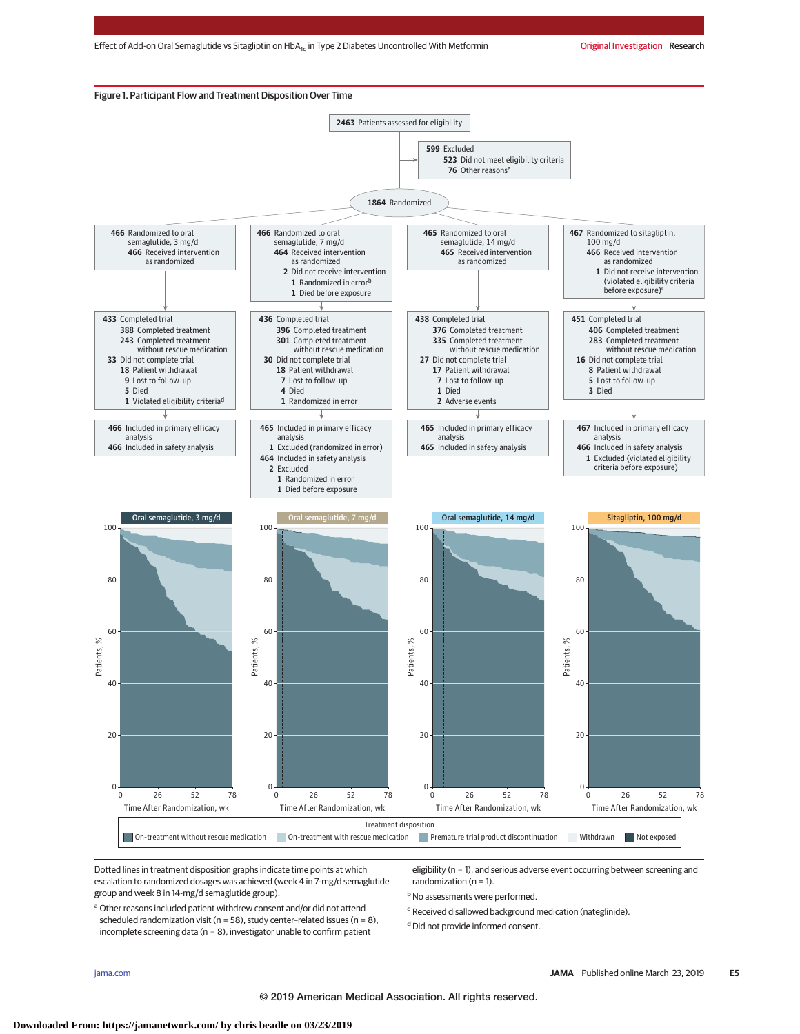

Dotted lines in treatment disposition graphs indicate time points at which escalation to randomized dosages was achieved (week 4 in 7-mg/d semaglutide group and week 8 in 14-mg/d semaglutide group).

eligibility (n = 1), and serious adverse event occurring between screening and randomization ( $n = 1$ ).

**b** No assessments were performed.

a Other reasons included patient withdrew consent and/or did not attend scheduled randomization visit ( $n = 58$ ), study center-related issues ( $n = 8$ ), incomplete screening data (n = 8), investigator unable to confirm patient

<sup>c</sup> Received disallowed background medication (nateglinide).

<sup>d</sup> Did not provide informed consent.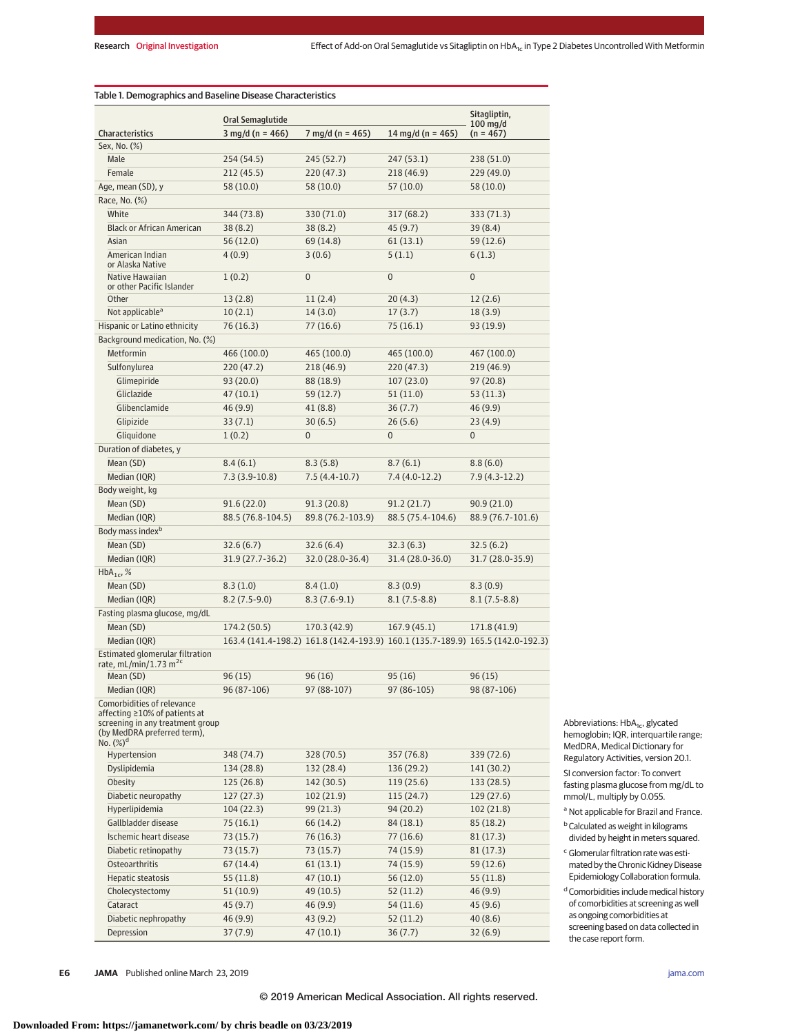|                                                                                                                                                | Oral Semaglutide           |                                                                                 |                   | Sitagliptin,              |
|------------------------------------------------------------------------------------------------------------------------------------------------|----------------------------|---------------------------------------------------------------------------------|-------------------|---------------------------|
| <b>Characteristics</b>                                                                                                                         | $3 \text{ mg/d}$ (n = 466) | 7 mg/d (n = 465)                                                                | 14 mg/d (n = 465) | $100$ mg/d<br>$(n = 467)$ |
| Sex, No. (%)                                                                                                                                   |                            |                                                                                 |                   |                           |
| Male                                                                                                                                           | 254 (54.5)                 | 245 (52.7)                                                                      | 247 (53.1)        | 238 (51.0)                |
| Female                                                                                                                                         | 212 (45.5)                 | 220 (47.3)                                                                      | 218 (46.9)        | 229(49.0)                 |
| Age, mean (SD), y                                                                                                                              | 58 (10.0)                  | 58 (10.0)                                                                       | 57 (10.0)         | 58 (10.0)                 |
| Race, No. (%)                                                                                                                                  |                            |                                                                                 |                   |                           |
| White                                                                                                                                          | 344 (73.8)                 | 330 (71.0)                                                                      | 317 (68.2)        | 333 (71.3)                |
| <b>Black or African American</b>                                                                                                               | 38(8.2)                    | 38(8.2)                                                                         | 45 (9.7)          | 39 (8.4)                  |
| Asian                                                                                                                                          | 56 (12.0)                  | 69 (14.8)                                                                       | 61(13.1)          | 59(12.6)                  |
| American Indian                                                                                                                                | 4(0.9)                     | 3(0.6)                                                                          | 5(1.1)            | 6(1.3)                    |
| or Alaska Native<br>Native Hawaiian<br>or other Pacific Islander                                                                               | 1(0.2)                     | 0                                                                               | $\overline{0}$    | 0                         |
| Other                                                                                                                                          | 13(2.8)                    | 11(2.4)                                                                         | 20(4.3)           | 12(2.6)                   |
| Not applicable <sup>a</sup>                                                                                                                    | 10(2.1)                    | 14(3.0)                                                                         | 17(3.7)           | 18(3.9)                   |
| Hispanic or Latino ethnicity                                                                                                                   | 76 (16.3)                  | 77 (16.6)                                                                       | 75 (16.1)         | 93 (19.9)                 |
| Background medication, No. (%)                                                                                                                 |                            |                                                                                 |                   |                           |
| Metformin                                                                                                                                      | 466 (100.0)                | 465 (100.0)                                                                     | 465 (100.0)       | 467 (100.0)               |
| Sulfonylurea                                                                                                                                   | 220 (47.2)                 | 218 (46.9)                                                                      | 220(47.3)         | 219 (46.9)                |
| Glimepiride                                                                                                                                    | 93 (20.0)                  | 88 (18.9)                                                                       | 107(23.0)         | 97(20.8)                  |
| Gliclazide                                                                                                                                     | 47(10.1)                   | 59 (12.7)                                                                       | 51(11.0)          | 53(11.3)                  |
| Glibenclamide                                                                                                                                  | 46 (9.9)                   | 41 (8.8)                                                                        | 36(7.7)           | 46(9.9)                   |
| Glipizide                                                                                                                                      | 33(7.1)                    | 30(6.5)                                                                         | 26(5.6)           | 23(4.9)                   |
| Gliquidone                                                                                                                                     | 1(0.2)                     | $\overline{0}$                                                                  | $\mathbf{0}$      | 0                         |
| Duration of diabetes, y                                                                                                                        |                            |                                                                                 |                   |                           |
| Mean (SD)                                                                                                                                      | 8.4(6.1)                   | 8.3(5.8)                                                                        | 8.7(6.1)          | 8.8(6.0)                  |
| Median (IQR)                                                                                                                                   | $7.3(3.9-10.8)$            | $7.5(4.4-10.7)$                                                                 | $7.4(4.0-12.2)$   | $7.9(4.3-12.2)$           |
|                                                                                                                                                |                            |                                                                                 |                   |                           |
| Body weight, kg                                                                                                                                |                            |                                                                                 |                   |                           |
| Mean (SD)                                                                                                                                      | 91.6 (22.0)                | 91.3(20.8)                                                                      | 91.2(21.7)        | 90.9(21.0)                |
| Median (IQR)<br>Body mass index <sup>b</sup>                                                                                                   | 88.5 (76.8-104.5)          | 89.8 (76.2-103.9)                                                               | 88.5 (75.4-104.6) | 88.9 (76.7-101.6)         |
|                                                                                                                                                |                            |                                                                                 |                   |                           |
| Mean (SD)                                                                                                                                      | 32.6(6.7)                  | 32.6(6.4)                                                                       | 32.3(6.3)         | 32.5(6.2)                 |
| Median (IQR)                                                                                                                                   | 31.9 (27.7-36.2)           | 32.0 (28.0-36.4)                                                                | 31.4 (28.0-36.0)  | 31.7 (28.0-35.9)          |
| $HbA_{1c}$ , %                                                                                                                                 |                            |                                                                                 |                   |                           |
| Mean (SD)                                                                                                                                      | 8.3(1.0)                   | 8.4(1.0)                                                                        | 8.3(0.9)          | 8.3(0.9)                  |
| Median (IQR)                                                                                                                                   | $8.2(7.5-9.0)$             | $8.3(7.6-9.1)$                                                                  | $8.1(7.5-8.8)$    | $8.1(7.5-8.8)$            |
| Fasting plasma glucose, mg/dL                                                                                                                  |                            |                                                                                 |                   |                           |
| Mean (SD)                                                                                                                                      | 174.2 (50.5)               | 170.3 (42.9)                                                                    | 167.9(45.1)       | 171.8 (41.9)              |
| Median (IQR)                                                                                                                                   |                            | 163.4 (141.4-198.2) 161.8 (142.4-193.9) 160.1 (135.7-189.9) 165.5 (142.0-192.3) |                   |                           |
| Estimated glomerular filtration<br>rate, mL/min/1.73 m <sup>2c</sup>                                                                           |                            |                                                                                 |                   |                           |
| Mean (SD)                                                                                                                                      | 96 (15)                    | 96 (16)                                                                         | 95(16)            | 96(15)                    |
| Median (IQR)                                                                                                                                   | 96 (87-106)                | 97 (88-107)                                                                     | 97 (86-105)       | 98 (87-106)               |
| Comorbidities of relevance<br>affecting ≥10% of patients at<br>screening in any treatment group<br>(by MedDRA preferred term).<br>No. $(\%)^d$ |                            |                                                                                 |                   |                           |
| Hypertension                                                                                                                                   | 348 (74.7)                 | 328 (70.5)                                                                      | 357 (76.8)        | 339 (72.6)                |
| Dyslipidemia                                                                                                                                   | 134 (28.8)                 | 132 (28.4)                                                                      | 136 (29.2)        | 141 (30.2)                |
| Obesity                                                                                                                                        | 125 (26.8)                 | 142 (30.5)                                                                      | 119 (25.6)        | 133(28.5)                 |
| Diabetic neuropathy                                                                                                                            | 127(27.3)                  | 102 (21.9)                                                                      | 115 (24.7)        | 129 (27.6)                |
| Hyperlipidemia                                                                                                                                 | 104(22.3)                  | 99 (21.3)                                                                       | 94 (20.2)         | 102 (21.8)                |
| Gallbladder disease                                                                                                                            | 75 (16.1)                  | 66 (14.2)                                                                       | 84 (18.1)         | 85 (18.2)                 |
| Ischemic heart disease                                                                                                                         | 73 (15.7)                  | 76 (16.3)                                                                       | 77 (16.6)         | 81(17.3)                  |
| Diabetic retinopathy                                                                                                                           | 73 (15.7)                  | 73 (15.7)                                                                       | 74 (15.9)         | 81(17.3)                  |
| Osteoarthritis                                                                                                                                 | 67 (14.4)                  | 61 (13.1)                                                                       | 74 (15.9)         | 59 (12.6)                 |
| Hepatic steatosis                                                                                                                              | 55 (11.8)                  | 47 (10.1)                                                                       | 56 (12.0)         | 55 (11.8)                 |
| Cholecystectomy                                                                                                                                | 51 (10.9)                  | 49 (10.5)                                                                       | 52 (11.2)         | 46 (9.9)                  |
| Cataract                                                                                                                                       | 45 (9.7)                   | 46 (9.9)                                                                        | 54 (11.6)         | 45 (9.6)                  |
| Diabetic nephropathy                                                                                                                           | 46 (9.9)                   | 43 (9.2)                                                                        | 52 (11.2)         | 40(8.6)                   |
| Depression                                                                                                                                     | 37(7.9)                    | 47 (10.1)                                                                       | 36(7.7)           | 32(6.9)                   |

Abbreviations: HbA<sub>1c</sub>, glycated hemoglobin; IQR, interquartile range; MedDRA, Medical Dictionary for Regulatory Activities, version 20.1. SI conversion factor: To convert fasting plasma glucose from mg/dL to mmol/L, multiply by 0.055.

<sup>a</sup> Not applicable for Brazil and France.

**b** Calculated as weight in kilograms divided by height in meters squared.

 $\mathrm{c}\,$  Glomerular filtration rate was estimated by the Chronic Kidney Disease Epidemiology Collaboration formula.

 $^{\rm d}$  Comorbidities include medical history of comorbidities at screening as well as ongoing comorbidities at screening based on data collected in the case report form.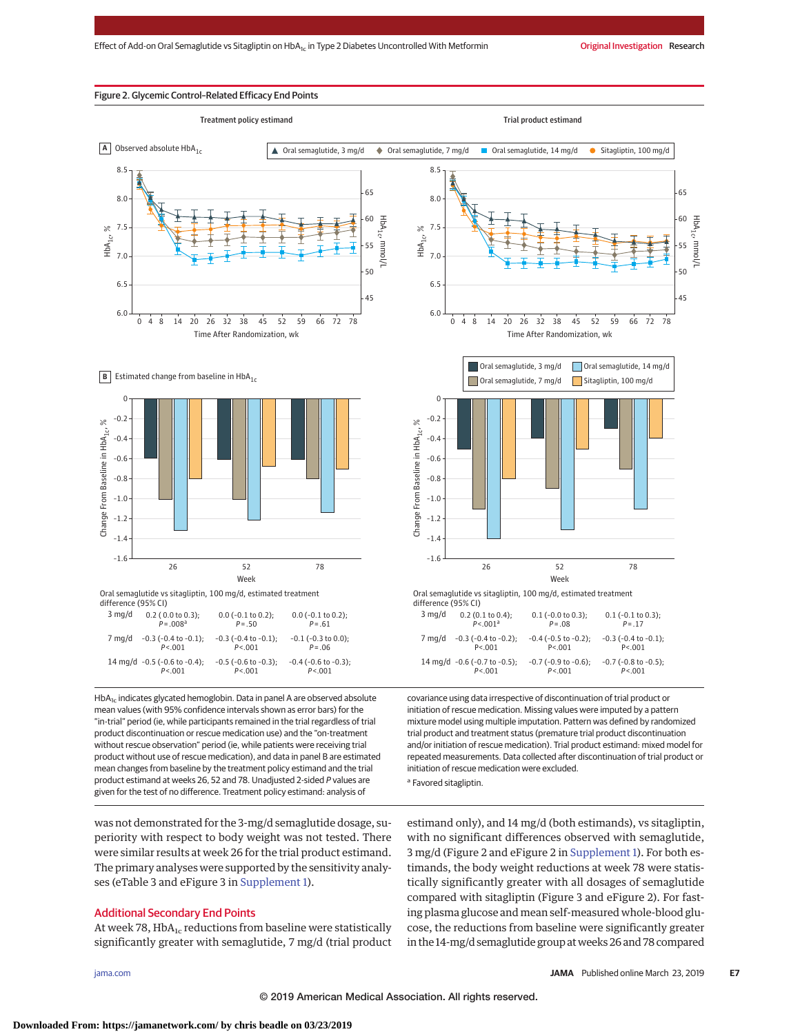#### Figure 2. Glycemic Control–Related Efficacy End Points







difference (95% CI) 3 mg/d  $0.2$  ( 0.0 to 0.3);  $0.0 (-0.1 \text{ to } 0.2)$  $0.0 (-0.1 \text{ to } 0.2)$ 

|        | --------------<br>$P = 0.08a$                    | --- - --- -- ----<br>$P = .50$          | $P = .61$                                |
|--------|--------------------------------------------------|-----------------------------------------|------------------------------------------|
| 7 mg/d | $-0.3$ ( $-0.4$ to $-0.1$ ):<br>P < 001          | $-0.3$ ( $-0.4$ to $-0.1$ ):<br>P < 001 | $-0.1$ ( $-0.3$ to $0.0$ ):<br>$P = .06$ |
|        | 14 mg/d $-0.5$ ( $-0.6$ to $-0.4$ );<br>P < 0.01 | $-0.5$ ( $-0.6$ to $-0.3$ ):<br>P < 001 | $-0.4$ ( $-0.6$ to $-0.3$ ):<br>P < 001  |

 $HbA_{1c}$  indicates glycated hemoglobin. Data in panel A are observed absolute mean values (with 95% confidence intervals shown as error bars) for the "in-trial" period (ie, while participants remained in the trial regardless of trial product discontinuation or rescue medication use) and the "on-treatment without rescue observation" period (ie, while patients were receiving trial product without use of rescue medication), and data in panel B are estimated mean changes from baseline by the treatment policy estimand and the trial product estimand at weeks 26, 52 and 78. Unadjusted 2-sided P values are given for the test of no difference. Treatment policy estimand: analysis of

was not demonstrated for the 3-mg/d semaglutide dosage, superiority with respect to body weight was not tested. There were similar results at week 26 for the trial product estimand. The primary analyses were supported by the sensitivity analyses (eTable 3 and eFigure 3 in [Supplement 1\)](https://jama.jamanetwork.com/article.aspx?doi=10.1001/jama.2019.2942&utm_campaign=articlePDF%26utm_medium=articlePDFlink%26utm_source=articlePDF%26utm_content=jama.2019.2942).

# Additional Secondary End Points

At week 78,  $HbA_{1c}$  reductions from baseline were statistically significantly greater with semaglutide, 7 mg/d (trial product



|        | --------------               | --- - --- -- ----            | --- \ --- -- --- -           |
|--------|------------------------------|------------------------------|------------------------------|
|        | P < 0.001a                   | $P = .08$                    | $P = 17$                     |
| 7 mg/d | $-0.3$ ( $-0.4$ to $-0.2$ ): | $-0.4$ ( $-0.5$ to $-0.2$ ): | $-0.3$ ( $-0.4$ to $-0.1$ ); |
|        | P < 001                      | P < 001                      | P < .001                     |
|        | 14 mg/d -0.6 (-0.7 to -0.5); | $-0.7$ ( $-0.9$ to $-0.6$ ): | $-0.7$ ( $-0.8$ to $-0.5$ ): |
|        | P < 0.01                     | P < 0.001                    | P < 0.001                    |

covariance using data irrespective of discontinuation of trial product or initiation of rescue medication. Missing values were imputed by a pattern mixture model using multiple imputation. Pattern was defined by randomized trial product and treatment status (premature trial product discontinuation and/or initiation of rescue medication). Trial product estimand: mixed model for repeated measurements. Data collected after discontinuation of trial product or initiation of rescue medication were excluded.

<sup>a</sup> Favored sitagliptin.

estimand only), and 14 mg/d (both estimands), vs sitagliptin, with no significant differences observed with semaglutide, 3 mg/d (Figure 2 and eFigure 2 in [Supplement 1\)](https://jama.jamanetwork.com/article.aspx?doi=10.1001/jama.2019.2942&utm_campaign=articlePDF%26utm_medium=articlePDFlink%26utm_source=articlePDF%26utm_content=jama.2019.2942). For both estimands, the body weight reductions at week 78 were statistically significantly greater with all dosages of semaglutide compared with sitagliptin (Figure 3 and eFigure 2). For fasting plasma glucose and mean self-measured whole-blood glucose, the reductions from baseline were significantly greater in the 14-mg/d semaglutide group atweeks 26 and 78 compared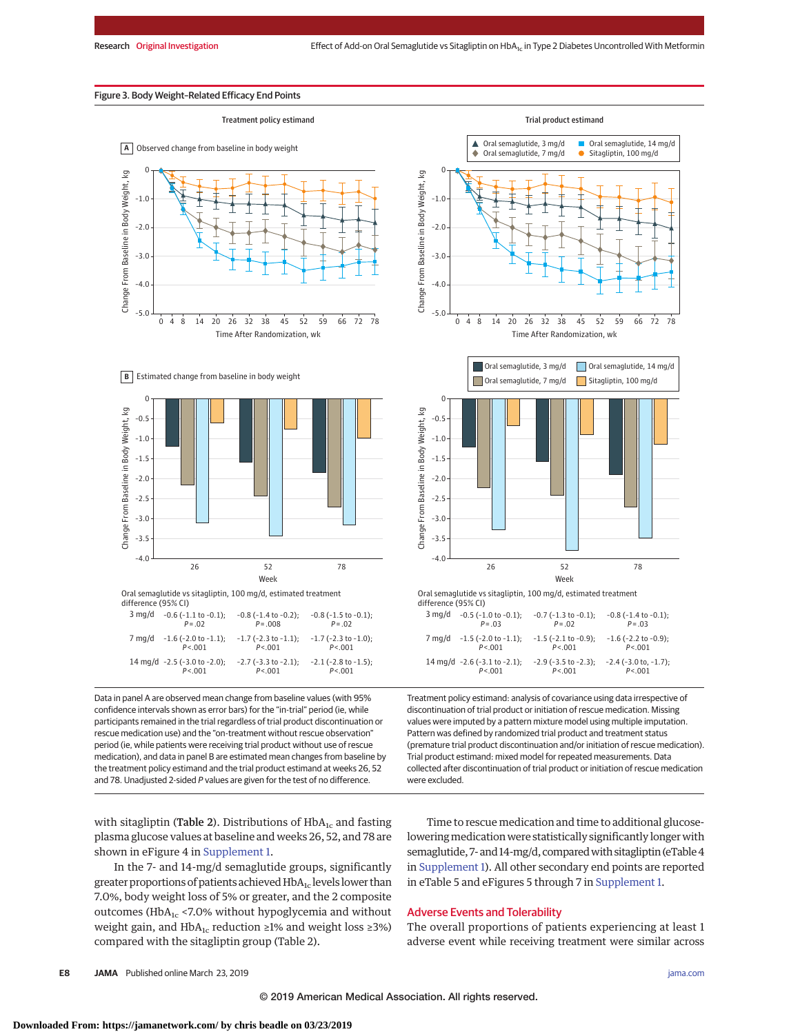### Figure 3. Body Weight–Related Efficacy End Points



**B** Estimated change from baseline in body weight



Data in panel A are observed mean change from baseline values (with 95% confidence intervals shown as error bars) for the "in-trial" period (ie, while participants remained in the trial regardless of trial product discontinuation or rescue medication use) and the "on-treatment without rescue observation" period (ie, while patients were receiving trial product without use of rescue medication), and data in panel B are estimated mean changes from baseline by the treatment policy estimand and the trial product estimand at weeks 26, 52 and 78. Unadjusted 2-sided P values are given for the test of no difference.

with sitagliptin (Table 2). Distributions of  $HbA_{1c}$  and fasting plasma glucose values at baseline and weeks 26, 52, and 78 are shown in eFigure 4 in [Supplement 1.](https://jama.jamanetwork.com/article.aspx?doi=10.1001/jama.2019.2942&utm_campaign=articlePDF%26utm_medium=articlePDFlink%26utm_source=articlePDF%26utm_content=jama.2019.2942)

In the 7- and 14-mg/d semaglutide groups, significantly greater proportions of patients achieved  $HbA<sub>1c</sub>$  levels lower than 7.0%, body weight loss of 5% or greater, and the 2 composite outcomes ( $HbA_{1c}$  <7.0% without hypoglycemia and without weight gain, and HbA<sub>1c</sub> reduction ≥1% and weight loss ≥3%) compared with the sitagliptin group (Table 2).





Treatment policy estimand: analysis of covariance using data irrespective of discontinuation of trial product or initiation of rescue medication. Missing values were imputed by a pattern mixture model using multiple imputation. Pattern was defined by randomized trial product and treatment status (premature trial product discontinuation and/or initiation of rescue medication). Trial product estimand: mixed model for repeated measurements. Data collected after discontinuation of trial product or initiation of rescue medication were excluded.

–2.9 (–3.5 to –2.3); *P*<.001

–2.4 (–3.0 to, –1.7); *P*<.001

Time to rescue medication and time to additional glucoselowering medication were statistically significantly longer with semaglutide, 7- and 14-mg/d, compared with sitagliptin (eTable 4 in [Supplement 1\)](https://jama.jamanetwork.com/article.aspx?doi=10.1001/jama.2019.2942&utm_campaign=articlePDF%26utm_medium=articlePDFlink%26utm_source=articlePDF%26utm_content=jama.2019.2942). All other secondary end points are reported in eTable 5 and eFigures 5 through 7 in [Supplement 1.](https://jama.jamanetwork.com/article.aspx?doi=10.1001/jama.2019.2942&utm_campaign=articlePDF%26utm_medium=articlePDFlink%26utm_source=articlePDF%26utm_content=jama.2019.2942)

# Adverse Events and Tolerability

14 mg/d –2.6 (–3.1 to –2.1);

*P*<.001

The overall proportions of patients experiencing at least 1 adverse event while receiving treatment were similar across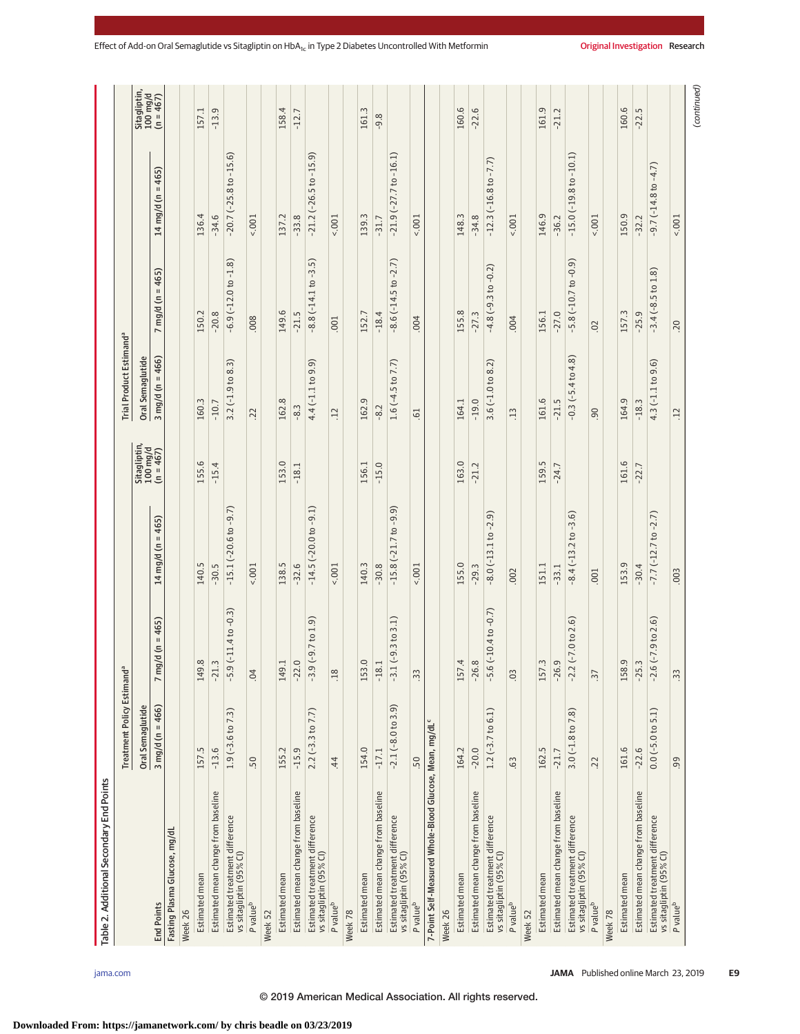|                                                                     | Treatment Policy Estimand <sup>a</sup> |                            |                               |                                       | Trial Product Estimand <sup>a</sup> |                                    |                                |                                       |
|---------------------------------------------------------------------|----------------------------------------|----------------------------|-------------------------------|---------------------------------------|-------------------------------------|------------------------------------|--------------------------------|---------------------------------------|
|                                                                     | Oral Semaglutide                       |                            |                               | Sitagliptin,<br>100 mg/d<br>(n = 467) | Oral Semaglutide                    |                                    |                                | Sitagliptin,<br>100 mg/d<br>(n = 467) |
| <b>End Points</b>                                                   | 3 mg/d (n = 466)                       | $7 \text{ mg/d}$ (n = 465) | 14 mg/d (n = 465)             |                                       | $3 \text{ mg/d} (n = 466)$          | $mg/d (n = 465)$<br>$\overline{ }$ | 14 mg/d (n = 465)              |                                       |
| Fasting Plasma Glucose, mg/dl                                       |                                        |                            |                               |                                       |                                     |                                    |                                |                                       |
| Week 26                                                             |                                        |                            |                               |                                       |                                     |                                    |                                |                                       |
| Estimated mean                                                      | 157.5                                  | $\infty$<br>149            | 140.5                         | 155.6                                 | 160.3                               | 150.2                              | 136.4                          | 157.1                                 |
| Estimated mean change from baseline                                 | $-13.6$                                | Ċ.<br>$-21$                | $-30.5$                       | $-15.4$                               | $-10.7$                             | $-20.8$                            | $-34.6$                        | $-13.9$                               |
| Estimated treatment difference<br>vs sitagliptin (95% CI)           | $1.9(-3.6 \text{ to } 7.3)$            | $-5.9(-11.4 to -0.3)$      | $-15.1$ ( $-20.6$ to $-9.7$ ) |                                       | $3.2(-1.9 to 8.3)$                  | $-6.9(-12.0 to -1.8)$              | $-20.7(-25.8 to -15.6)$        |                                       |
| P value <sup>b</sup>                                                | 50                                     | 04                         | 5001                          |                                       | 22                                  | 008                                | 5001                           |                                       |
| Week 52                                                             |                                        |                            |                               |                                       |                                     |                                    |                                |                                       |
| Estimated mean                                                      | 155.2                                  | 149.1                      | 138.5                         | 153.0                                 | 162.8                               | 149.6                              | 137.2                          | 158.4                                 |
| Estimated mean change from baseline                                 | $-15.9$                                | $\cup$<br>$-22$ .          | $-32.6$                       | $-18.1$                               | $-8.3$                              | $-21.5$                            | $-33.8$                        | $-12.7$                               |
| Estimated treatment difference<br>vs sitagliptin (95% CI)           | $2.2$ (-3.3 to 7.7)                    | $-3.9(-9.7 to 1.9)$        | $-14.5$ ( $-20.0$ to $-9.1$ ) |                                       | $4.4(-1.1109.9)$                    | $-8.8(-14.1$ to $-3.5)$            | $-21.2$ ( $-26.5$ to $-15.9$ ) |                                       |
| P value <sup>b</sup>                                                | 44                                     | .18                        | 5001                          |                                       | $\overline{12}$                     | 001                                | 5001                           |                                       |
| Week 78                                                             |                                        |                            |                               |                                       |                                     |                                    |                                |                                       |
| Estimated mean                                                      | 154.0                                  | 153.0                      | 140.3                         | 156.1                                 | 162.9                               | 152.7                              | 139.3                          | 161.3                                 |
| Estimated mean change from baseline                                 | $-17.1$                                | $-18.1$                    | $-30.8$                       | $-15.0$                               | $-8.2$                              | $-18.4$                            | $-31.7$                        | $-9.8$                                |
| Estimated treatment difference<br>vs sitagliptin (95% Cl)           | $-2.1(-8.0 \text{ to } 3.9)$           | $(-9.3 to 3.1)$<br>$-3.1$  | $-15.8(-21.7 to -9.9)$        |                                       | $1.6(-4.5 to 7.7)$                  | $-8.6(-14.5$ to $-2.7)$            | $-21.9(-27.7 to -16.1)$        |                                       |
| P value <sup>b</sup>                                                | .50                                    | $\ddot{3}$                 | 5001                          |                                       | $-61$                               | .004                               | 1001                           |                                       |
| 7-Point Self-Measured Whole-Blood Glucose, Mean, mg/dL <sup>c</sup> |                                        |                            |                               |                                       |                                     |                                    |                                |                                       |
| Week 26                                                             |                                        |                            |                               |                                       |                                     |                                    |                                |                                       |
| Estimated mean                                                      | 164.2                                  | $\ddot{ }$<br>157.         | 155.0                         | 163.0                                 | 164.1                               | 55.8                               | 148.3                          | 160.6                                 |
| Estimated mean change from baseline                                 | $-20.0$                                | $\infty$<br>$-26.$         | $-29.3$                       | $-21.2$                               | $-19.0$                             | $-27.3$                            | $-34.8$                        | $-22.6$                               |
| Estimated treatment difference<br>vs sitagliptin (95% Cl)           | $1.2$ (-3.7 to 6.1)                    | $-5.6(-10.4 to -0.7)$      | $-8.0(-13.1 to -2.9)$         |                                       | $3.6(-1.0 to 8.2)$                  | $-4.8(-9.3 to -0.2)$               | $-12.3(-16.8 to -7.7)$         |                                       |
| P value <sup>b</sup>                                                | .63                                    | 0 <sup>3</sup>             | .002                          |                                       | .13                                 | .004                               | $5001 -$                       |                                       |
| Week 52                                                             |                                        |                            |                               |                                       |                                     |                                    |                                |                                       |
| Estimated mean                                                      | 162.5                                  | 157.3                      | 151.1                         | 159.5                                 | 161.6                               | 156.1                              | 146.9                          | 161.9                                 |
| Estimated mean change from baseline                                 | $-21.7$                                | Ō<br>$-26.$                | $-33.1$                       | $-24.7$                               | $-21.5$                             | $-27.0$                            | $-36.2$                        | $-21.2$                               |
| Estimated treatment difference<br>vs sitagliptin (95% CI)           | $3.0(-1.8 to 7.8)$                     | $(-7.0 to 2.6)$<br>$-2.2$  | $-8.4(-13.2 to -3.6)$         |                                       | $-0.3(-5.4 to 4.8)$                 | $-5.8(-10.7 to -0.9)$              | $-15.0(-19.8 to -10.1)$        |                                       |
| P value <sup>b</sup>                                                | .22                                    | $\ddot{3}$                 | .001                          |                                       | 90                                  | $\overline{0}$                     | 5001                           |                                       |
| Week 78                                                             |                                        |                            |                               |                                       |                                     |                                    |                                |                                       |
| Estimated mean                                                      | 161.6                                  | 158.9                      | 153.9                         | 161.6                                 | 164.9                               | 157.3                              | 150.9                          | 160.6                                 |
| Estimated mean change from baseline                                 | $-22.6$                                | $-25.3$                    | $-30.4$                       | $-22.7$                               | $-18.3$                             | $-25.9$                            | $-32.2$                        | $-22.5$                               |
| Estimated treatment difference<br>vs sitagliptin (95% CI)           | $0.0$ ( $-5.0$ to $5.1$ )              | $-2.6(-7.9 to 2.6)$        | $-7.7(-12.7)$ to $-2.7$ )     |                                       | $4.3(-1.1$ to $9.6)$                | $-3.4(-8.5 to 1.8)$                | $-9.7(-14.8 to -4.7)$          |                                       |
| P value <sup>b</sup>                                                | 99                                     | $\ddot{3}$                 | .003                          |                                       | $\overline{12}$                     | .20                                | $5001 -$                       |                                       |
|                                                                     |                                        |                            |                               |                                       |                                     |                                    |                                | (continued)                           |

**Downloaded From: https://jamanetwork.com/ by chris beadle on 03/23/2019**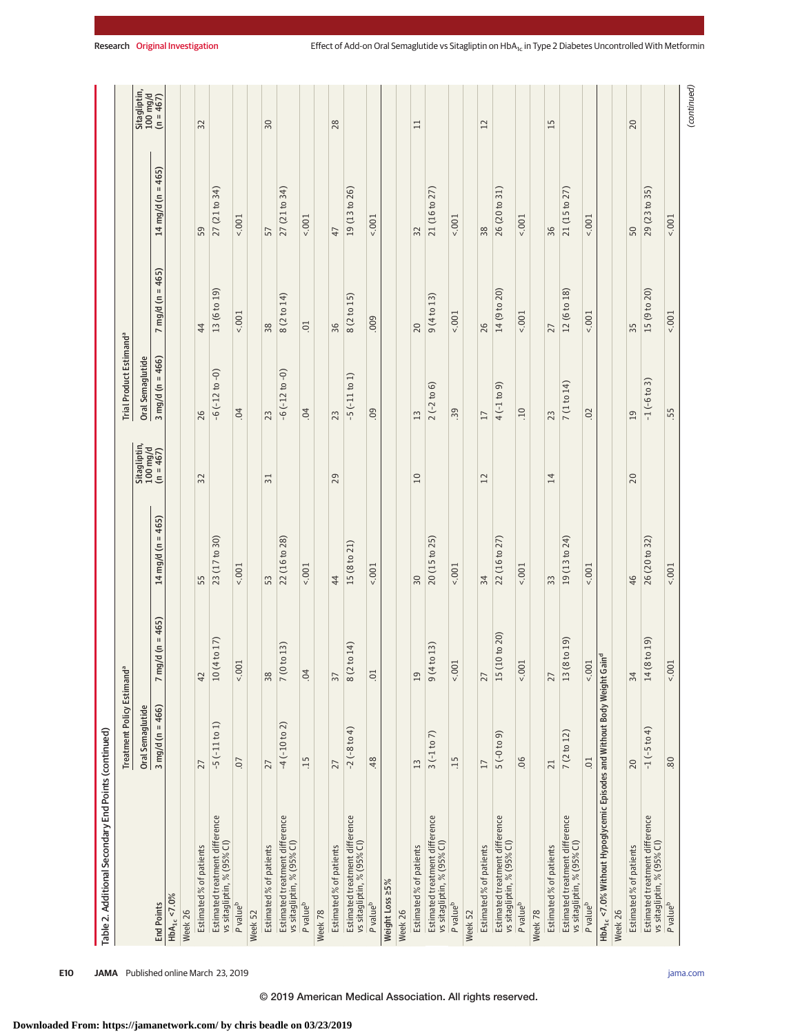|                                                                                                 | Treatment Policy Estimand <sup>a</sup> |                                       |                            |                                       | Trial Product Estimand <sup>a</sup> |                                      |                                                                                                                                       |                                       |
|-------------------------------------------------------------------------------------------------|----------------------------------------|---------------------------------------|----------------------------|---------------------------------------|-------------------------------------|--------------------------------------|---------------------------------------------------------------------------------------------------------------------------------------|---------------------------------------|
|                                                                                                 | Oral Semaglutide                       |                                       |                            | Sitagliptin,<br>100 mg/d<br>(n = 467) | Oral Semaglutide                    |                                      |                                                                                                                                       | Sitagliptin,<br>100 mg/d<br>(n = 467) |
| <b>End Points</b>                                                                               | $3 \text{ mg/d} (n = 466)$             | $(n = 465)$<br>mg/d<br>$\overline{ }$ | $mg/d (n = 465)$<br>14     |                                       | $3 \text{ mg/d} (n = 466)$          | $= 465$<br>mg/d (n<br>$\overline{ }$ | 465)<br>$\mathsf{H}% _{0}\left( \mathcal{M}_{0}\right) ^{\ast }=\mathsf{H}_{0}\left( \mathcal{M}_{0}\right) ^{\ast }$<br>$14$ mg/d (n |                                       |
| $HbA_{1c} < 7.0%$                                                                               |                                        |                                       |                            |                                       |                                     |                                      |                                                                                                                                       |                                       |
| Week 26                                                                                         |                                        |                                       |                            |                                       |                                     |                                      |                                                                                                                                       |                                       |
| Estimated % of patients                                                                         | 27                                     | 42                                    | 55                         | 32                                    | 26                                  | 44                                   | 59                                                                                                                                    | 32                                    |
| Estimated treatment difference<br>vs sitagliptin, % (95% CI)                                    | $-5$ ( $-11$ to 1)                     | 17)<br>10 (4 to                       | 23 (17 to 30)              |                                       | $-6(-12 to -0)$                     | 13 (6 to 19)                         | 27 (21 to 34)                                                                                                                         |                                       |
| P value <sup>b</sup>                                                                            | $\overline{0}$                         | 1001                                  | $5001 -$                   |                                       | 04                                  | $5001 -$                             | $5001 -$                                                                                                                              |                                       |
| Week 52                                                                                         |                                        |                                       |                            |                                       |                                     |                                      |                                                                                                                                       |                                       |
| Estimated % of patients                                                                         | 27                                     | 38                                    | 53                         | $\overline{51}$                       | 23                                  | 38                                   | 57                                                                                                                                    | $\overline{50}$                       |
| Estimated treatment difference<br>vs sitagliptin, % (95% CI)                                    | $-4$ ( $-10$ to 2)                     | 13)<br>7(0 <sup>to</sup>              | 22 (16 to 28)              |                                       | $-6(-12 to -0)$                     | 8 (2 to 14)                          | 27 (21 to 34)                                                                                                                         |                                       |
| P value <sup>b</sup>                                                                            | 15                                     | 04                                    | 5001                       |                                       | 04                                  | $\overline{0}$                       | 1001                                                                                                                                  |                                       |
| Week 78                                                                                         |                                        |                                       |                            |                                       |                                     |                                      |                                                                                                                                       |                                       |
| Estimated % of patients                                                                         | 27                                     | $\overline{57}$                       | 44                         | 29                                    | 23                                  | 36                                   | 47                                                                                                                                    | 28                                    |
| Estimated treatment difference<br>vs sitagliptin, % (95% CI)                                    | $-2(-8 to 4)$                          | 14)<br>8 (2 to                        | 15(8 to 21)                |                                       | ុ<br>$-5(-11)$ to                   | 15)<br>8(2 to                        | 19(13 to 26)                                                                                                                          |                                       |
| P value <sup>b</sup>                                                                            | 48                                     | $\overline{0}$                        | 5001                       |                                       | 0.0                                 | 009                                  | 1001                                                                                                                                  |                                       |
| Weight Loss ≥5%                                                                                 |                                        |                                       |                            |                                       |                                     |                                      |                                                                                                                                       |                                       |
| Week 26                                                                                         |                                        |                                       |                            |                                       |                                     |                                      |                                                                                                                                       |                                       |
| Estimated % of patients                                                                         | 13                                     | 19                                    | $50\,$                     | 10                                    | 3<br>$\overline{\phantom{0}}$       | 20                                   | 32                                                                                                                                    | $\Box$                                |
| Estimated treatment difference<br>vs sitagliptin, % (95% CI)                                    | $3(-1 to 7)$                           | 13)<br>9(4t)                          | 25)<br>20(15 <sub>to</sub> |                                       | 6<br>$\mathfrak{a}$<br>$2(-2)$      | 9(4 to 13)                           | 21 (16 to 27)                                                                                                                         |                                       |
| P value <sup>b</sup>                                                                            | $\overline{15}$                        | 5001                                  | 5001                       |                                       | .39                                 | 5001                                 | 5001                                                                                                                                  |                                       |
| Week 52                                                                                         |                                        |                                       |                            |                                       |                                     |                                      |                                                                                                                                       |                                       |
| Estimated % of patients                                                                         | 17                                     | 27                                    | 34                         | 12                                    | 17                                  | 26                                   | 38                                                                                                                                    | 12                                    |
| Estimated treatment difference<br>vs sitagliptin, % (95% CI)                                    | $(6 \text{ of } -5)$ 5                 | to $20$<br>15 (10)                    | 22 (16 to 27)              |                                       | $4(-1 to 9)$                        | 14 (9 to 20)                         | 26 (20 to 31)                                                                                                                         |                                       |
| P value <sup>b</sup>                                                                            | 06                                     | 5001                                  | 500.5                      |                                       | .10                                 | 1001                                 | 1001                                                                                                                                  |                                       |
| Week 78                                                                                         |                                        |                                       |                            |                                       |                                     |                                      |                                                                                                                                       |                                       |
| Estimated % of patients                                                                         | $\overline{c}$                         | 27                                    | 33                         | 14                                    | 23                                  | 27                                   | 36                                                                                                                                    | 15                                    |
| Estimated treatment difference<br>vs sitagliptin, % (95% CI)                                    | 7(2 to 12)                             | (61)<br>$13(8to$                      | 19 (13 to 24)              |                                       | 7 (1 to 14)                         | 12 (6 to 18)                         | 21 (15 to 27)                                                                                                                         |                                       |
| P value <sup>b</sup>                                                                            | 01                                     | 5001                                  | 5001                       |                                       | 02                                  | 5001                                 | 5001                                                                                                                                  |                                       |
| HbA <sub>1c</sub> <7.0% Without Hypoglycemic Episodes and Without Body Weight Gain <sup>d</sup> |                                        |                                       |                            |                                       |                                     |                                      |                                                                                                                                       |                                       |
| Week 26                                                                                         |                                        |                                       |                            |                                       |                                     |                                      |                                                                                                                                       |                                       |
| Estimated % of patients                                                                         | 20                                     | 34                                    | 46                         | 20                                    | 19                                  | 35                                   | 50                                                                                                                                    | 20                                    |
| Estimated treatment difference<br>vs sitagliptin, % (95% CI)                                    | $-1$ ( $-5$ to 4)                      | (61)<br>14 (8 to 1                    | 26 (20 to 32)              |                                       | $-1(-6 to 3)$                       | 15 (9 to 20)                         | 29 (23 to 35)                                                                                                                         |                                       |
| P value <sup>b</sup>                                                                            | 80                                     | 5001                                  | 5001                       |                                       | .55                                 | 001                                  | 5001                                                                                                                                  |                                       |

**E10 JAMA** Published online March 23, 2019 **(Reprinted)** [jama.com](http://www.jama.com/?utm_campaign=articlePDF%26utm_medium=articlePDFlink%26utm_source=articlePDF%26utm_content=jama.2019.2942)

# © 2019 American Medical Association. All rights reserved.

Research Original Investigation **Effect of Add-on Oral Semaglutide vs Sitagliptin on HbA<sub>1c</sub>** in Type 2 Diabetes Uncontrolled With Metformin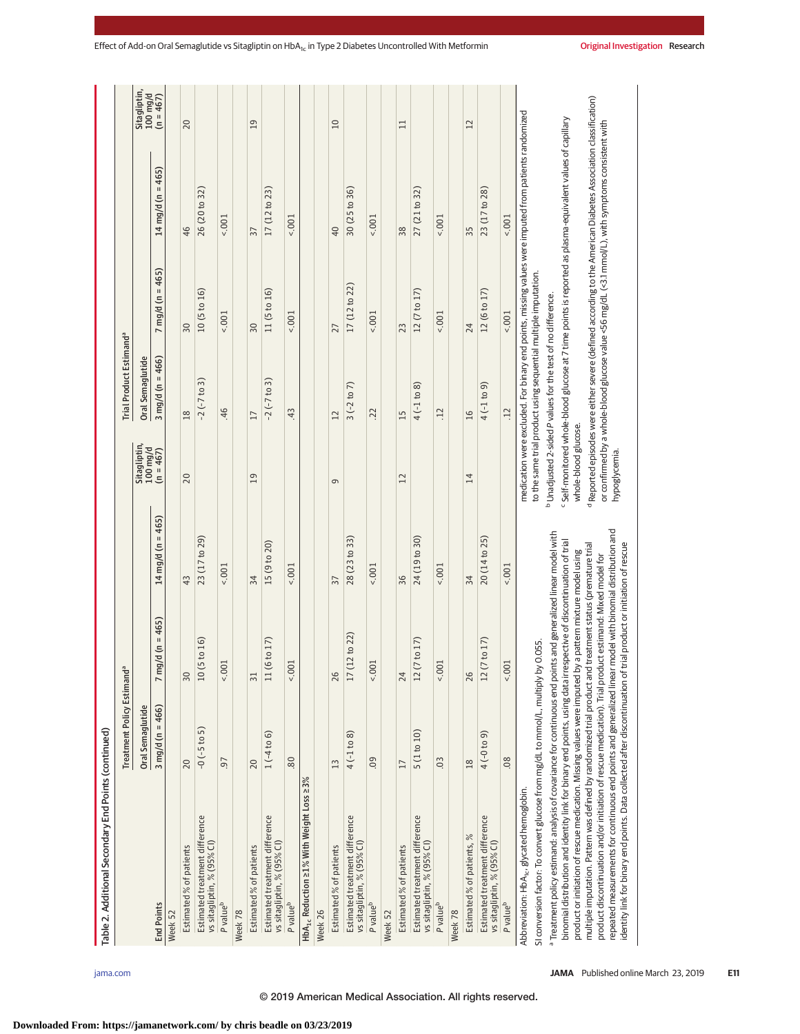| Table 2. Additional Secondary End Points (continued)                                                                                                                                                                                                                                                                                                                                                                                     |                                        |                                      |                   |                            |                                                                         |                            |                                                                                                                                                                                                                          |                          |
|------------------------------------------------------------------------------------------------------------------------------------------------------------------------------------------------------------------------------------------------------------------------------------------------------------------------------------------------------------------------------------------------------------------------------------------|----------------------------------------|--------------------------------------|-------------------|----------------------------|-------------------------------------------------------------------------|----------------------------|--------------------------------------------------------------------------------------------------------------------------------------------------------------------------------------------------------------------------|--------------------------|
|                                                                                                                                                                                                                                                                                                                                                                                                                                          | Treatment Policy Estimand <sup>a</sup> |                                      |                   |                            | Trial Product Estimand <sup>a</sup>                                     |                            |                                                                                                                                                                                                                          |                          |
|                                                                                                                                                                                                                                                                                                                                                                                                                                          | Oral Semaglutide                       |                                      |                   | Sitagliptin,<br>$100$ mg/d | Oral Semaglutide                                                        |                            |                                                                                                                                                                                                                          | Sitagliptin,<br>100 mg/d |
| <b>End Points</b>                                                                                                                                                                                                                                                                                                                                                                                                                        | $3 \text{ mg/d} (n = 466)$             | $g/d (n = 465)$<br>$7 \, \mathrm{m}$ | 14 mg/d (n = 465) | $(n = 467)$                | 3 mg/d (n = 466)                                                        | $7 \text{ mg/d}$ (n = 465) | 14 mg/d (n = 465)                                                                                                                                                                                                        | $(n = 467)$              |
| Week 52                                                                                                                                                                                                                                                                                                                                                                                                                                  |                                        |                                      |                   |                            |                                                                         |                            |                                                                                                                                                                                                                          |                          |
| Estimated % of patients                                                                                                                                                                                                                                                                                                                                                                                                                  | 20                                     | $50\,$                               | $\frac{3}{4}$     | 20                         | 18                                                                      | $\overline{30}$            | 46                                                                                                                                                                                                                       | 20                       |
| Estimated treatment difference<br>vs sitagliptin, % (95% CI)                                                                                                                                                                                                                                                                                                                                                                             | $-0$ ( $-5$ to 5)                      | 10(5 to 16)                          | 23 (17 to 29)     |                            | $-2(-7t_{0}3)$                                                          | 10(5 to 16)                | 26 (20 to 32)                                                                                                                                                                                                            |                          |
| P value <sup>b</sup>                                                                                                                                                                                                                                                                                                                                                                                                                     | -6                                     | 1001                                 | $5001 -$          |                            | .46                                                                     | $5001 -$                   | $5001 -$                                                                                                                                                                                                                 |                          |
| Week 78                                                                                                                                                                                                                                                                                                                                                                                                                                  |                                        |                                      |                   |                            |                                                                         |                            |                                                                                                                                                                                                                          |                          |
| Estimated % of patients                                                                                                                                                                                                                                                                                                                                                                                                                  | 20                                     | $\overline{51}$                      | 34                | 19                         | 17                                                                      | 30                         | 37                                                                                                                                                                                                                       | 19                       |
| Estimated treatment difference<br>vs sitagliptin, % (95% CI)                                                                                                                                                                                                                                                                                                                                                                             | $1(-4 to 6)$                           | 11 (6 to 17)                         | 15 (9 to 20)      |                            | $-2(-7 to 3)$                                                           | 11(5 to 16)                | 17(12 to 23)                                                                                                                                                                                                             |                          |
| P value <sup>b</sup>                                                                                                                                                                                                                                                                                                                                                                                                                     | 80                                     | 5001                                 | $5001 -$          |                            | 43                                                                      | $5001 -$                   | $5001 -$                                                                                                                                                                                                                 |                          |
| HbA <sub>1c</sub> Reduction ≥1% With Weight Loss ≥3%                                                                                                                                                                                                                                                                                                                                                                                     |                                        |                                      |                   |                            |                                                                         |                            |                                                                                                                                                                                                                          |                          |
| Week <sub>26</sub>                                                                                                                                                                                                                                                                                                                                                                                                                       |                                        |                                      |                   |                            |                                                                         |                            |                                                                                                                                                                                                                          |                          |
| Estimated % of patients                                                                                                                                                                                                                                                                                                                                                                                                                  | $\frac{1}{3}$                          | 26                                   | 57                | $\sigma$                   | 12                                                                      | 27                         | $\overline{a}$                                                                                                                                                                                                           | $\overline{10}$          |
| Estimated treatment difference<br>vs sitagliptin, % (95% CI)                                                                                                                                                                                                                                                                                                                                                                             | $4(-1 to 8)$                           | 17(12 to 22)                         | 28 (23 to 33)     |                            | $3(-2 to 7)$                                                            | 17 (12 to 22)              | 30 (25 to 36)                                                                                                                                                                                                            |                          |
| P value <sup>b</sup>                                                                                                                                                                                                                                                                                                                                                                                                                     | <b>90</b>                              | 1001                                 | 5001              |                            | .22                                                                     | $5001 -$                   | $5001 -$                                                                                                                                                                                                                 |                          |
| Week 52                                                                                                                                                                                                                                                                                                                                                                                                                                  |                                        |                                      |                   |                            |                                                                         |                            |                                                                                                                                                                                                                          |                          |
| Estimated % of patients                                                                                                                                                                                                                                                                                                                                                                                                                  | 17                                     | 24                                   | 36                | 12                         | 15                                                                      | 23                         | 38                                                                                                                                                                                                                       | $\Box$                   |
| Estimated treatment difference<br>vs sitagliptin, % (95% CI)                                                                                                                                                                                                                                                                                                                                                                             | 5 (1 to 10)                            | 12 (7 to 17)                         | 24 (19 to 30)     |                            | $4(-1)$ to 8)                                                           | 12 (7 to 17)               | 27 (21 to 32)                                                                                                                                                                                                            |                          |
| P value <sup>b</sup>                                                                                                                                                                                                                                                                                                                                                                                                                     | 0 <sup>3</sup>                         | 1001                                 | 5001              |                            | $\overline{12}$                                                         | 1001                       | 1001                                                                                                                                                                                                                     |                          |
| Week 78                                                                                                                                                                                                                                                                                                                                                                                                                                  |                                        |                                      |                   |                            |                                                                         |                            |                                                                                                                                                                                                                          |                          |
| Estimated % of patients, %                                                                                                                                                                                                                                                                                                                                                                                                               | 18                                     | 26                                   | 34                | 14                         | 16                                                                      | 24                         | 55                                                                                                                                                                                                                       | 12                       |
| Estimated treatment difference<br>vs sitagliptin, % (95% CI)                                                                                                                                                                                                                                                                                                                                                                             | $(6 \text{ of } -) +$                  | 12 (7 to 17)                         | 20 (14 to 25)     |                            | $4(-1)$ to 9)                                                           | 12 (6 to 17)               | 23 (17 to 28)                                                                                                                                                                                                            |                          |
| P value <sup>b</sup>                                                                                                                                                                                                                                                                                                                                                                                                                     | 08                                     | 1001                                 | $5001 -$          |                            | .12                                                                     | $5001 -$                   | 1001                                                                                                                                                                                                                     |                          |
| Abbreviation: HbA <sub>ic</sub> , glycated hemoglobin.                                                                                                                                                                                                                                                                                                                                                                                   |                                        |                                      |                   |                            |                                                                         |                            | medication were excluded. For binary end points, missing values were imputed from patients randomized                                                                                                                    |                          |
| SI conversion factor: To convert glucose from mg/dL to mmol/L, multiply by 0.055                                                                                                                                                                                                                                                                                                                                                         |                                        |                                      |                   |                            | to the same trial product using sequential multiple imputation.         |                            |                                                                                                                                                                                                                          |                          |
| <sup>a</sup> Treatment policy estimand: analysis of covariance for continuous end points and generalized linear model with<br>binomial distribution and identity link for binary end points, using data irrespective of discontinuation of trial<br>product or initiation of rescue medication. Missing values were imputed by a pattern mixture model using<br>multiple imputation. Pattern was defined by randomized trial product and |                                        | treatment status (premature trial    | τ                 | whole-blood glucose.       | <sup>b</sup> Unadjusted 2-sided P values for the test of no difference. |                            | Reported episodes were either severe (defined according to the American Diabetes Association classification)<br>Self-monitored whole-blood glucose at 7 time points is reported as plasma-equivalent values of capillary |                          |
| repeated measurements for continuous end points and generalized linear model with binomial distribution and<br>identity link for binary end points. Data collected after discontinuation of trial product or initiation of rescue<br>product discontinuation and/or initiation of rescue medication). Trial product estimand: Mixed model for                                                                                            |                                        |                                      |                   | hypoglycemia.              |                                                                         |                            | or confirmed by a whole-blood glucose value <56 mg/dL (<3.1 mmol/L), with symptoms consistent with                                                                                                                       |                          |

**Downloaded From: https://jamanetwork.com/ by chris beadle on 03/23/2019**

© 2019 American Medical Association. All rights reserved.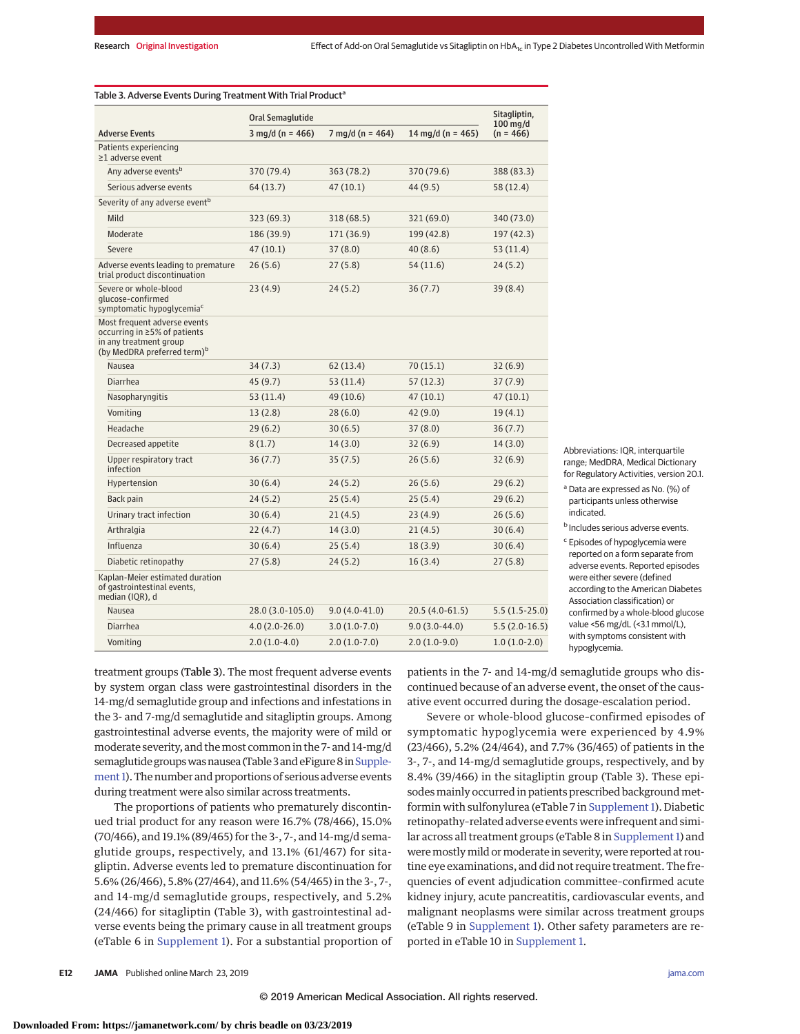|                                                                                                                                   | Oral Semaglutide           |                            |                   | Sitagliptin,              |
|-----------------------------------------------------------------------------------------------------------------------------------|----------------------------|----------------------------|-------------------|---------------------------|
| <b>Adverse Events</b>                                                                                                             | $3 \text{ mg/d}$ (n = 466) | $7 \text{ mg/d}$ (n = 464) | 14 mg/d (n = 465) | $100$ mg/d<br>$(n = 466)$ |
| Patients experiencing<br>≥1 adverse event                                                                                         |                            |                            |                   |                           |
| Any adverse events <sup>b</sup>                                                                                                   | 370 (79.4)                 | 363 (78.2)                 | 370 (79.6)        | 388 (83.3)                |
| Serious adverse events                                                                                                            | 64 (13.7)                  | 47(10.1)                   | 44 (9.5)          | 58 (12.4)                 |
| Severity of any adverse event <sup>b</sup>                                                                                        |                            |                            |                   |                           |
| Mild                                                                                                                              | 323 (69.3)                 | 318 (68.5)                 | 321 (69.0)        | 340 (73.0)                |
| Moderate                                                                                                                          | 186 (39.9)                 | 171 (36.9)                 | 199 (42.8)        | 197 (42.3)                |
| Severe                                                                                                                            | 47(10.1)                   | 37(8.0)                    | 40(8.6)           | 53(11.4)                  |
| Adverse events leading to premature<br>trial product discontinuation                                                              | 26(5.6)                    | 27(5.8)                    | 54 (11.6)         | 24(5.2)                   |
| Severe or whole-blood<br>qlucose-confirmed<br>symptomatic hypoglycemia <sup>c</sup>                                               | 23(4.9)                    | 24(5.2)                    | 36(7.7)           | 39(8.4)                   |
| Most frequent adverse events<br>occurring in ≥5% of patients<br>in any treatment group<br>(by MedDRA preferred term) <sup>b</sup> |                            |                            |                   |                           |
| Nausea                                                                                                                            | 34(7.3)                    | 62(13.4)                   | 70(15.1)          | 32(6.9)                   |
| Diarrhea                                                                                                                          | 45(9.7)                    | 53(11.4)                   | 57(12.3)          | 37(7.9)                   |
| Nasopharyngitis                                                                                                                   | 53(11.4)                   | 49 (10.6)                  | 47(10.1)          | 47(10.1)                  |
| Vomiting                                                                                                                          | 13(2.8)                    | 28(6.0)                    | 42 (9.0)          | 19(4.1)                   |
| Headache                                                                                                                          | 29(6.2)                    | 30(6.5)                    | 37(8.0)           | 36(7.7)                   |
| Decreased appetite                                                                                                                | 8(1.7)                     | 14(3.0)                    | 32(6.9)           | 14(3.0)                   |
| Upper respiratory tract<br>infection                                                                                              | 36(7.7)                    | 35(7.5)                    | 26(5.6)           | 32(6.9)                   |
| Hypertension                                                                                                                      | 30(6.4)                    | 24(5.2)                    | 26(5.6)           | 29(6.2)                   |
| Back pain                                                                                                                         | 24(5.2)                    | 25(5.4)                    | 25(5.4)           | 29(6.2)                   |
| Urinary tract infection                                                                                                           | 30(6.4)                    | 21(4.5)                    | 23(4.9)           | 26(5.6)                   |
| Arthralgia                                                                                                                        | 22(4.7)                    | 14(3.0)                    | 21(4.5)           | 30(6.4)                   |
| Influenza                                                                                                                         | 30(6.4)                    | 25(5.4)                    | 18(3.9)           | 30(6.4)                   |
| Diabetic retinopathy                                                                                                              | 27(5.8)                    | 24(5.2)                    | 16(3.4)           | 27(5.8)                   |
| Kaplan-Meier estimated duration<br>of gastrointestinal events,<br>median (IQR), d                                                 |                            |                            |                   |                           |
| Nausea                                                                                                                            | 28.0 (3.0-105.0)           | $9.0(4.0-41.0)$            | 20.5 (4.0-61.5)   | $5.5(1.5-25.0)$           |
| Diarrhea                                                                                                                          | $4.0(2.0-26.0)$            | $3.0(1.0-7.0)$             | $9.0(3.0-44.0)$   | $5.5(2.0-16.5)$           |
| Vomiting                                                                                                                          | $2.0(1.0-4.0)$             | $2.0(1.0-7.0)$             | $2.0(1.0-9.0)$    | $1.0(1.0-2.0)$            |

Abbreviations: IQR, interquartile range; MedDRA, Medical Dictionary for Regulatory Activities, version 20.1. <sup>a</sup> Data are expressed as No. (%) of

participants unless otherwise indicated.

<sup>b</sup> Includes serious adverse events.

<sup>c</sup> Episodes of hypoglycemia were reported on a form separate from adverse events. Reported episodes were either severe (defined according to the American Diabetes Association classification) or confirmed by a whole-blood glucose value <56 mg/dL (<3.1 mmol/L), with symptoms consistent with hypoglycemia.

treatment groups (Table 3). The most frequent adverse events by system organ class were gastrointestinal disorders in the 14-mg/d semaglutide group and infections and infestations in the 3- and 7-mg/d semaglutide and sitagliptin groups. Among gastrointestinal adverse events, the majority were of mild or moderate severity, and themost common in the 7- and 14-mg/d semaglutide groups was nausea (Table 3 and eFigure 8 in Supple[ment 1\)](https://jama.jamanetwork.com/article.aspx?doi=10.1001/jama.2019.2942&utm_campaign=articlePDF%26utm_medium=articlePDFlink%26utm_source=articlePDF%26utm_content=jama.2019.2942). The number and proportions of serious adverse events during treatment were also similar across treatments.

The proportions of patients who prematurely discontinued trial product for any reason were 16.7% (78/466), 15.0% (70/466), and 19.1% (89/465) for the 3-, 7-, and 14-mg/d semaglutide groups, respectively, and 13.1% (61/467) for sitagliptin. Adverse events led to premature discontinuation for 5.6% (26/466), 5.8% (27/464), and 11.6% (54/465) in the 3-, 7-, and 14-mg/d semaglutide groups, respectively, and 5.2% (24/466) for sitagliptin (Table 3), with gastrointestinal adverse events being the primary cause in all treatment groups (eTable 6 in [Supplement 1\)](https://jama.jamanetwork.com/article.aspx?doi=10.1001/jama.2019.2942&utm_campaign=articlePDF%26utm_medium=articlePDFlink%26utm_source=articlePDF%26utm_content=jama.2019.2942). For a substantial proportion of patients in the 7- and 14-mg/d semaglutide groups who discontinued because of an adverse event, the onset of the causative event occurred during the dosage-escalation period.

Severe or whole-blood glucose–confirmed episodes of symptomatic hypoglycemia were experienced by 4.9% (23/466), 5.2% (24/464), and 7.7% (36/465) of patients in the 3-, 7-, and 14-mg/d semaglutide groups, respectively, and by 8.4% (39/466) in the sitagliptin group (Table 3). These episodes mainly occurred in patients prescribed background metformin with sulfonylurea (eTable 7 in [Supplement 1\)](https://jama.jamanetwork.com/article.aspx?doi=10.1001/jama.2019.2942&utm_campaign=articlePDF%26utm_medium=articlePDFlink%26utm_source=articlePDF%26utm_content=jama.2019.2942). Diabetic retinopathy–related adverse events were infrequent and simi-lar across all treatment groups (eTable 8 in [Supplement 1\)](https://jama.jamanetwork.com/article.aspx?doi=10.1001/jama.2019.2942&utm_campaign=articlePDF%26utm_medium=articlePDFlink%26utm_source=articlePDF%26utm_content=jama.2019.2942) and were mostly mild or moderate in severity, were reported at routine eye examinations, and did not require treatment. The frequencies of event adjudication committee–confirmed acute kidney injury, acute pancreatitis, cardiovascular events, and malignant neoplasms were similar across treatment groups (eTable 9 in [Supplement 1\)](https://jama.jamanetwork.com/article.aspx?doi=10.1001/jama.2019.2942&utm_campaign=articlePDF%26utm_medium=articlePDFlink%26utm_source=articlePDF%26utm_content=jama.2019.2942). Other safety parameters are reported in eTable 10 in [Supplement 1.](https://jama.jamanetwork.com/article.aspx?doi=10.1001/jama.2019.2942&utm_campaign=articlePDF%26utm_medium=articlePDFlink%26utm_source=articlePDF%26utm_content=jama.2019.2942)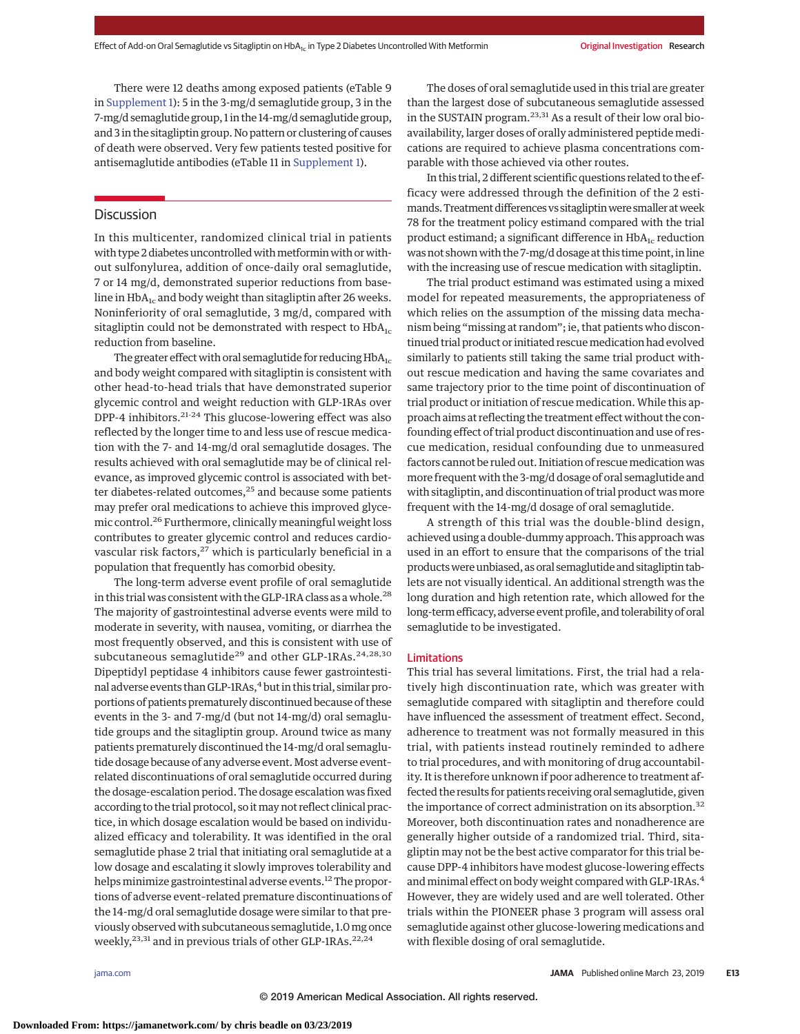There were 12 deaths among exposed patients (eTable 9 in [Supplement 1\)](https://jama.jamanetwork.com/article.aspx?doi=10.1001/jama.2019.2942&utm_campaign=articlePDF%26utm_medium=articlePDFlink%26utm_source=articlePDF%26utm_content=jama.2019.2942): 5 in the 3-mg/d semaglutide group, 3 in the 7-mg/d semaglutide group, 1 in the 14-mg/d semaglutide group, and 3 in the sitagliptin group. No pattern or clustering of causes of death were observed. Very few patients tested positive for antisemaglutide antibodies (eTable 11 in [Supplement 1\)](https://jama.jamanetwork.com/article.aspx?doi=10.1001/jama.2019.2942&utm_campaign=articlePDF%26utm_medium=articlePDFlink%26utm_source=articlePDF%26utm_content=jama.2019.2942).

# **Discussion**

In this multicenter, randomized clinical trial in patients with type 2 diabetes uncontrolled with metformin with or without sulfonylurea, addition of once-daily oral semaglutide, 7 or 14 mg/d, demonstrated superior reductions from baseline in  $HbA_{1c}$  and body weight than sitagliptin after 26 weeks. Noninferiority of oral semaglutide, 3 mg/d, compared with sitagliptin could not be demonstrated with respect to  $HbA_{1c}$ reduction from baseline.

The greater effect with oral semaglutide for reducing  $HbA_{1c}$ and body weight compared with sitagliptin is consistent with other head-to-head trials that have demonstrated superior glycemic control and weight reduction with GLP-1RAs over DPP-4 inhibitors.<sup>21-24</sup> This glucose-lowering effect was also reflected by the longer time to and less use of rescue medication with the 7- and 14-mg/d oral semaglutide dosages. The results achieved with oral semaglutide may be of clinical relevance, as improved glycemic control is associated with better diabetes-related outcomes, $25$  and because some patients may prefer oral medications to achieve this improved glycemic control.<sup>26</sup> Furthermore, clinically meaningful weight loss contributes to greater glycemic control and reduces cardiovascular risk factors,<sup>27</sup> which is particularly beneficial in a population that frequently has comorbid obesity.

The long-term adverse event profile of oral semaglutide in this trial was consistent with the GLP-1RA class as a whole.<sup>28</sup> The majority of gastrointestinal adverse events were mild to moderate in severity, with nausea, vomiting, or diarrhea the most frequently observed, and this is consistent with use of subcutaneous semaglutide<sup>29</sup> and other GLP-1RAs.<sup>24,28,30</sup> Dipeptidyl peptidase 4 inhibitors cause fewer gastrointestinal adverse events than GLP-1RAs,<sup>4</sup> but in this trial, similar proportions of patients prematurely discontinued because of these events in the 3- and 7-mg/d (but not 14-mg/d) oral semaglutide groups and the sitagliptin group. Around twice as many patients prematurely discontinued the 14-mg/d oral semaglutide dosage because of any adverse event. Most adverse eventrelated discontinuations of oral semaglutide occurred during the dosage-escalation period. The dosage escalation was fixed according to the trial protocol, so it may not reflect clinical practice, in which dosage escalation would be based on individualized efficacy and tolerability. It was identified in the oral semaglutide phase 2 trial that initiating oral semaglutide at a low dosage and escalating it slowly improves tolerability and helps minimize gastrointestinal adverse events.<sup>12</sup> The proportions of adverse event–related premature discontinuations of the 14-mg/d oral semaglutide dosage were similar to that previously observed with subcutaneous semaglutide, 1.0mg once weekly,<sup>23,31</sup> and in previous trials of other GLP-1RAs.<sup>22,24</sup>

The doses of oral semaglutide used in this trial are greater than the largest dose of subcutaneous semaglutide assessed in the SUSTAIN program. $^{23,31}$  As a result of their low oral bioavailability, larger doses of orally administered peptide medications are required to achieve plasma concentrations comparable with those achieved via other routes.

In this trial, 2 different scientific questions related to the efficacy were addressed through the definition of the 2 estimands. Treatment differences vs sitagliptin were smaller at week 78 for the treatment policy estimand compared with the trial product estimand; a significant difference in  $HbA<sub>1c</sub>$  reduction was not shown with the 7-mg/d dosage at this time point, in line with the increasing use of rescue medication with sitagliptin.

The trial product estimand was estimated using a mixed model for repeated measurements, the appropriateness of which relies on the assumption of the missing data mechanism being "missing at random"; ie, that patients who discontinued trial product or initiated rescuemedication had evolved similarly to patients still taking the same trial product without rescue medication and having the same covariates and same trajectory prior to the time point of discontinuation of trial product or initiation of rescue medication. While this approach aims at reflecting the treatment effect without the confounding effect of trial product discontinuation and use of rescue medication, residual confounding due to unmeasured factors cannot be ruled out. Initiation of rescue medication was more frequent with the 3-mg/d dosage of oral semaglutide and with sitagliptin, and discontinuation of trial product was more frequent with the 14-mg/d dosage of oral semaglutide.

A strength of this trial was the double-blind design, achieved using a double-dummy approach. This approach was used in an effort to ensure that the comparisons of the trial productswere unbiased, as oral semaglutide and sitagliptin tablets are not visually identical. An additional strength was the long duration and high retention rate, which allowed for the long-term efficacy, adverse event profile, and tolerability of oral semaglutide to be investigated.

#### Limitations

This trial has several limitations. First, the trial had a relatively high discontinuation rate, which was greater with semaglutide compared with sitagliptin and therefore could have influenced the assessment of treatment effect. Second, adherence to treatment was not formally measured in this trial, with patients instead routinely reminded to adhere to trial procedures, and with monitoring of drug accountability. It is therefore unknown if poor adherence to treatment affected the results for patients receiving oral semaglutide, given the importance of correct administration on its absorption.<sup>32</sup> Moreover, both discontinuation rates and nonadherence are generally higher outside of a randomized trial. Third, sitagliptin may not be the best active comparator for this trial because DPP-4 inhibitors have modest glucose-lowering effects and minimal effect on body weight compared with GLP-1RAs.<sup>4</sup> However, they are widely used and are well tolerated. Other trials within the PIONEER phase 3 program will assess oral semaglutide against other glucose-lowering medications and with flexible dosing of oral semaglutide.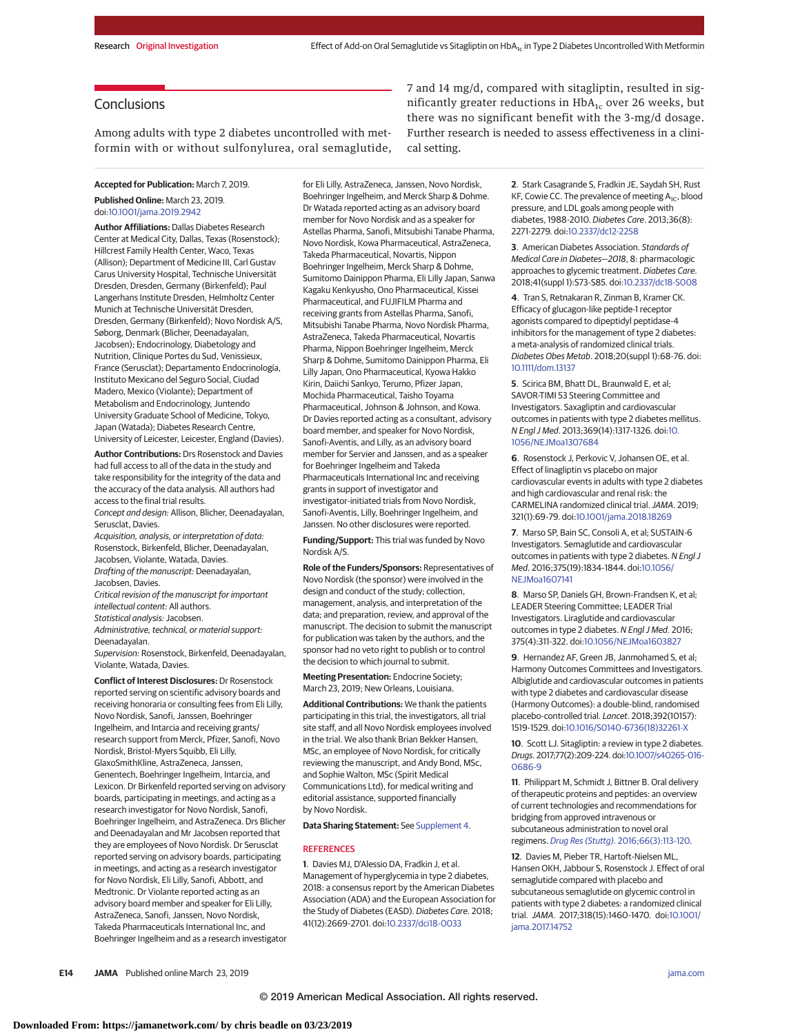# **Conclusions**

Among adults with type 2 diabetes uncontrolled with metformin with or without sulfonylurea, oral semaglutide,

**Accepted for Publication:** March 7, 2019. **Published Online:** March 23, 2019. doi[:10.1001/jama.2019.2942](https://jama.jamanetwork.com/article.aspx?doi=10.1001/jama.2019.2942&utm_campaign=articlePDF%26utm_medium=articlePDFlink%26utm_source=articlePDF%26utm_content=jama.2019.2942)

**Author Affiliations:** Dallas Diabetes Research Center at Medical City, Dallas, Texas (Rosenstock); Hillcrest Family Health Center, Waco, Texas (Allison); Department of Medicine III, Carl Gustav Carus University Hospital, Technische Universität Dresden, Dresden, Germany (Birkenfeld); Paul Langerhans Institute Dresden, Helmholtz Center Munich at Technische Universität Dresden, Dresden, Germany (Birkenfeld); Novo Nordisk A/S, Søborg, Denmark (Blicher, Deenadayalan, Jacobsen); Endocrinology, Diabetology and Nutrition, Clinique Portes du Sud, Venissieux, France (Serusclat); Departamento Endocrinología, Instituto Mexicano del Seguro Social, Ciudad Madero, Mexico (Violante); Department of Metabolism and Endocrinology, Juntendo University Graduate School of Medicine, Tokyo, Japan (Watada); Diabetes Research Centre, University of Leicester, Leicester, England (Davies).

**Author Contributions:** Drs Rosenstock and Davies had full access to all of the data in the study and take responsibility for the integrity of the data and the accuracy of the data analysis. All authors had access to the final trial results.

Concept and design: Allison, Blicher, Deenadayalan, Serusclat, Davies.

Acquisition, analysis, or interpretation of data: Rosenstock, Birkenfeld, Blicher, Deenadayalan, Jacobsen, Violante, Watada, Davies. Drafting of the manuscript: Deenadayalan, Jacobsen, Davies.

Critical revision of the manuscript for important intellectual content: All authors.

Statistical analysis: Jacobsen.

Administrative, technical, or material support: Deenadayalan.

Supervision: Rosenstock, Birkenfeld, Deenadayalan, Violante, Watada, Davies.

**Conflict of Interest Disclosures:** Dr Rosenstock reported serving on scientific advisory boards and receiving honoraria or consulting fees from Eli Lilly, Novo Nordisk, Sanofi, Janssen, Boehringer Ingelheim, and Intarcia and receiving grants/ research support from Merck, Pfizer, Sanofi, Novo Nordisk, Bristol-Myers Squibb, Eli Lilly, GlaxoSmithKline, AstraZeneca, Janssen, Genentech, Boehringer Ingelheim, Intarcia, and Lexicon. Dr Birkenfeld reported serving on advisory boards, participating in meetings, and acting as a research investigator for Novo Nordisk, Sanofi, Boehringer Ingelheim, and AstraZeneca. Drs Blicher and Deenadayalan and Mr Jacobsen reported that they are employees of Novo Nordisk. Dr Serusclat reported serving on advisory boards, participating in meetings, and acting as a research investigator for Novo Nordisk, Eli Lilly, Sanofi, Abbott, and Medtronic. Dr Violante reported acting as an advisory board member and speaker for Eli Lilly, AstraZeneca, Sanofi, Janssen, Novo Nordisk, Takeda Pharmaceuticals International Inc, and Boehringer Ingelheim and as a research investigator for Eli Lilly, AstraZeneca, Janssen, Novo Nordisk, Boehringer Ingelheim, and Merck Sharp & Dohme. Dr Watada reported acting as an advisory board member for Novo Nordisk and as a speaker for Astellas Pharma, Sanofi, Mitsubishi Tanabe Pharma, Novo Nordisk, Kowa Pharmaceutical, AstraZeneca, Takeda Pharmaceutical, Novartis, Nippon Boehringer Ingelheim, Merck Sharp & Dohme, Sumitomo Dainippon Pharma, Eli Lilly Japan, Sanwa Kagaku Kenkyusho, Ono Pharmaceutical, Kissei Pharmaceutical, and FUJIFILM Pharma and receiving grants from Astellas Pharma, Sanofi, Mitsubishi Tanabe Pharma, Novo Nordisk Pharma, AstraZeneca, Takeda Pharmaceutical, Novartis Pharma, Nippon Boehringer Ingelheim, Merck Sharp & Dohme, Sumitomo Dainippon Pharma, Eli Lilly Japan, Ono Pharmaceutical, Kyowa Hakko Kirin, Daiichi Sankyo, Terumo, Pfizer Japan, Mochida Pharmaceutical, Taisho Toyama Pharmaceutical, Johnson & Johnson, and Kowa. Dr Davies reported acting as a consultant, advisory board member, and speaker for Novo Nordisk, Sanofi-Aventis, and Lilly, as an advisory board member for Servier and Janssen, and as a speaker for Boehringer Ingelheim and Takeda Pharmaceuticals International Inc and receiving grants in support of investigator and investigator-initiated trials from Novo Nordisk, Sanofi-Aventis, Lilly, Boehringer Ingelheim, and Janssen. No other disclosures were reported.

**Funding/Support:** This trial was funded by Novo Nordisk A/S.

**Role of the Funders/Sponsors:** Representatives of Novo Nordisk (the sponsor) were involved in the design and conduct of the study; collection, management, analysis, and interpretation of the data; and preparation, review, and approval of the manuscript. The decision to submit the manuscript for publication was taken by the authors, and the sponsor had no veto right to publish or to control the decision to which journal to submit.

**Meeting Presentation:** Endocrine Society; March 23, 2019; New Orleans, Louisiana.

**Additional Contributions:** We thank the patients participating in this trial, the investigators, all trial site staff, and all Novo Nordisk employees involved in the trial. We also thank Brian Bekker Hansen, MSc, an employee of Novo Nordisk, for critically reviewing the manuscript, and Andy Bond, MSc, and Sophie Walton, MSc (Spirit Medical Communications Ltd), for medical writing and editorial assistance, supported financially by Novo Nordisk.

#### **Data Sharing Statement:** See [Supplement 4.](https://jama.jamanetwork.com/article.aspx?doi=10.1001/jama.2019.2942&utm_campaign=articlePDF%26utm_medium=articlePDFlink%26utm_source=articlePDF%26utm_content=jama.2019.2942)

#### **REFERENCES**

**1**. Davies MJ, D'Alessio DA, Fradkin J, et al. Management of hyperglycemia in type 2 diabetes, 2018: a consensus report by the American Diabetes Association (ADA) and the European Association for the Study of Diabetes (EASD). Diabetes Care. 2018; 41(12):2669-2701. doi[:10.2337/dci18-0033](https://dx.doi.org/10.2337/dci18-0033)

7 and 14 mg/d, compared with sitagliptin, resulted in significantly greater reductions in  $HbA_{1c}$  over 26 weeks, but there was no significant benefit with the 3-mg/d dosage. Further research is needed to assess effectiveness in a clinical setting.

> **2**. Stark Casagrande S, Fradkin JE, Saydah SH, Rust KF, Cowie CC. The prevalence of meeting  $A_{1C}$ , blood pressure, and LDL goals among people with diabetes, 1988-2010. Diabetes Care. 2013;36(8): 2271-2279. doi[:10.2337/dc12-2258](https://dx.doi.org/10.2337/dc12-2258)

**3**. American Diabetes Association. Standards of Medical Care in Diabetes—2018, 8: pharmacologic approaches to glycemic treatment. Diabetes Care. 2018;41(suppl 1):S73-S85. doi[:10.2337/dc18-S008](https://dx.doi.org/10.2337/dc18-S008)

**4**. Tran S, Retnakaran R, Zinman B, Kramer CK. Efficacy of glucagon-like peptide-1 receptor agonists compared to dipeptidyl peptidase-4 inhibitors for the management of type 2 diabetes: a meta-analysis of randomized clinical trials. Diabetes Obes Metab. 2018;20(suppl 1):68-76. doi: [10.1111/dom.13137](https://dx.doi.org/10.1111/dom.13137)

**5**. Scirica BM, Bhatt DL, Braunwald E, et al; SAVOR-TIMI 53 Steering Committee and Investigators. Saxagliptin and cardiovascular outcomes in patients with type 2 diabetes mellitus. N Engl J Med. 2013;369(14):1317-1326. doi[:10.](https://dx.doi.org/10.1056/NEJMoa1307684) 1056/NF IMoa1307684

**6**. Rosenstock J, Perkovic V, Johansen OE, et al. Effect of linagliptin vs placebo on major cardiovascular events in adults with type 2 diabetes and high cardiovascular and renal risk: the CARMELINA randomized clinical trial.JAMA. 2019; 321(1):69-79. doi[:10.1001/jama.2018.18269](https://jama.jamanetwork.com/article.aspx?doi=10.1001/jama.2018.18269&utm_campaign=articlePDF%26utm_medium=articlePDFlink%26utm_source=articlePDF%26utm_content=jama.2019.2942)

**7**. Marso SP, Bain SC, Consoli A, et al; SUSTAIN-6 Investigators. Semaglutide and cardiovascular outcomes in patients with type 2 diabetes. N Engl J Med. 2016;375(19):1834-1844. doi[:10.1056/](https://dx.doi.org/10.1056/NEJMoa1607141) NE IMoa1607141

**8**. Marso SP, Daniels GH, Brown-Frandsen K, et al; LEADER Steering Committee; LEADER Trial Investigators. Liraglutide and cardiovascular outcomes in type 2 diabetes. N Engl J Med. 2016; 375(4):311-322. doi[:10.1056/NEJMoa1603827](https://dx.doi.org/10.1056/NEJMoa1603827)

**9**. Hernandez AF, Green JB, Janmohamed S, et al; Harmony Outcomes Committees and Investigators. Albiglutide and cardiovascular outcomes in patients with type 2 diabetes and cardiovascular disease (Harmony Outcomes): a double-blind, randomised placebo-controlled trial. Lancet. 2018;392(10157): 1519-1529. doi[:10.1016/S0140-6736\(18\)32261-X](https://dx.doi.org/10.1016/S0140-6736(18)32261-X)

**10**. Scott LJ. Sitagliptin: a review in type 2 diabetes. Drugs. 2017;77(2):209-224. doi[:10.1007/s40265-016-](https://dx.doi.org/10.1007/s40265-016-0686-9) [0686-9](https://dx.doi.org/10.1007/s40265-016-0686-9)

**11**. Philippart M, Schmidt J, Bittner B. Oral delivery of therapeutic proteins and peptides: an overview of current technologies and recommendations for bridging from approved intravenous or subcutaneous administration to novel oral regimens. Drug Res (Stuttg)[. 2016;66\(3\):113-120.](https://www.ncbi.nlm.nih.gov/pubmed/26536331)

**12**. Davies M, Pieber TR, Hartoft-Nielsen ML, Hansen OKH, Jabbour S, Rosenstock J. Effect of oral semaglutide compared with placebo and subcutaneous semaglutide on glycemic control in patients with type 2 diabetes: a randomized clinical trial. JAMA. 2017;318(15):1460-1470. doi[:10.1001/](https://jama.jamanetwork.com/article.aspx?doi=10.1001/jama.2017.14752&utm_campaign=articlePDF%26utm_medium=articlePDFlink%26utm_source=articlePDF%26utm_content=jama.2019.2942) [jama.2017.14752](https://jama.jamanetwork.com/article.aspx?doi=10.1001/jama.2017.14752&utm_campaign=articlePDF%26utm_medium=articlePDFlink%26utm_source=articlePDF%26utm_content=jama.2019.2942)